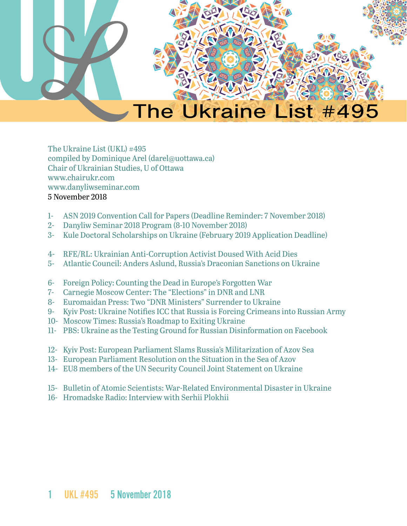

The Ukraine List (UKL) #495 compiled by Dominique Arel (darel@uottawa.ca) Chair of Ukrainian Studies, U of Ottawa [www.chairukr.com](http://www.chairukr.com) [www.danyliwseminar.com](http://www.danyliwseminar.com) 5 November 2018

- <span id="page-0-0"></span>1- [ASN 2019 Convention Call for Papers \(Deadline Reminder: 7 November 2018\)](#page-1-0)
- 2- [Danyliw Seminar 2018 Program \(8-10 November 2018\)](#page-4-0)
- 3- [Kule Doctoral Scholarships on Ukraine \(February 2019 Application Deadline\)](#page-11-0)
- 4- [RFE/RL: Ukrainian Anti-Corruption Activist Doused With Acid Dies](#page-12-0)
- 5- Atlantic Council: Anders Aslund, Russia's Draconian Sanctions on Ukraine
- 6- Foreign Policy: Counting the Dead in Europe's Forgotten War
- 7- [Carnegie Moscow Center: The "Elections" in DNR and LNR](#page-18-0)
- 8- Euromaidan Press: Two "DNR Ministers" Surrender to Ukraine
- 9- [Kyiv Post: Ukraine Notifies ICC that Russia is Forcing Crimeans into Russian Army](#page-25-0)
- 10- Moscow Times: Russia's Roadmap to Exiting Ukraine
- 11- [PBS: Ukraine as the Testing Ground for Russian Disinformation on Facebook](#page-28-0)
- 12- [Kyiv Post: European Parliament Slams Russia's Militarization of Azov Sea](#page-34-0)
- 13- [European Parliament Resolution on the Situation in the Sea of Azov](#page-37-0)
- 14- [EU8 members of the UN Security Council Joint Statement on Ukraine](#page-39-0)
- 15- [Bulletin of Atomic Scientists: War-Related Environmental Disaster in Ukraine](#page-40-0)
- 16- [Hromadske Radio: Interview with Serhii Plokhii](#page-46-0)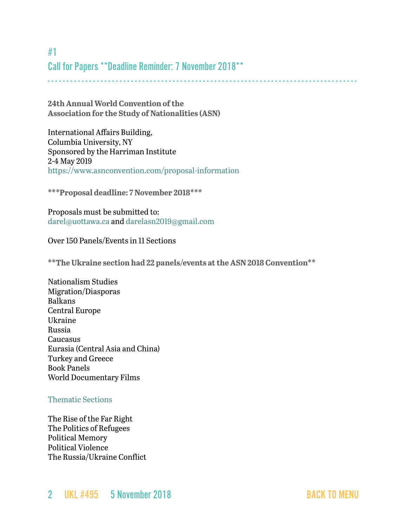## <span id="page-1-0"></span>#1 Call for Papers \*\*Deadline Reminder: 7 November 2018\*\*

- - - - - - - - - - - - - - - - - - - - - - - - - - - - - - - - - - - - - - - - - - - - - - - - - - - - - - - - - - - - - - - - - - - - - - - - - - - - - - - - - -

**24th Annual World Convention of the Association for the Study of Nationalities (ASN)**

International Affairs Building, Columbia University, NY Sponsored by the Harriman Institute 2-4 May 2019 <https://www.asnconvention.com/proposal-information>

**\*\*\*Proposal deadline: 7 November 2018\*\*\***

Proposals must be submitted to: [darel@uottawa.ca](mailto:darel@uottawa.ca) and [darelasn2019@gmail.com](mailto:darelasn2019@gmail.com)

[Over 150 Panels/Events in 11 Sections](https://www.asnconvention.com/eleven-sections)

**\*\*The Ukraine section had 22 panels/events at the ASN 2018 Convention\*\***

Nationalism Studies Migration/Diasporas Balkans Central Europe Ukraine Russia Caucasus Eurasia (Central Asia and China) Turkey and Greece Book Panels World Documentary Films

### [Thematic Sections](https://www.asnconvention.com/thematic-sections)

The Rise of the Far Right The Politics of Refugees Political Memory Political Violence The Russia/Ukraine Conflict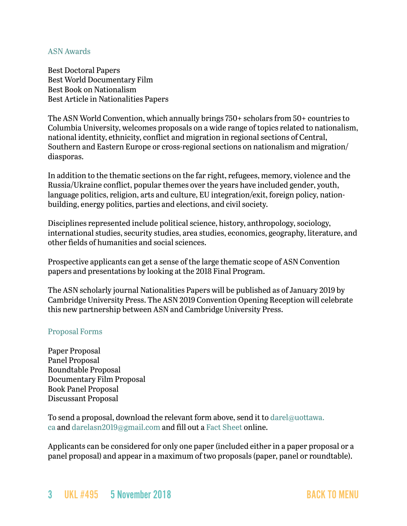#### [ASN Awards](https://www.asnconvention.com/asn-awards)

Best Doctoral Papers Best World Documentary Film Best Book on Nationalism Best Article in Nationalities Papers

The ASN World Convention, which annually brings 750+ scholars from 50+ countries to Columbia University, welcomes proposals on a wide range of topics related to nationalism, national identity, ethnicity, conflict and migration in regional sections of Central, Southern and Eastern Europe or cross-regional sections on nationalism and migration/ diasporas.

In addition to the thematic sections on the far right, refugees, memory, violence and the Russia/Ukraine conflict, popular themes over the years have included gender, youth, language politics, religion, arts and culture, EU integration/exit, foreign policy, nationbuilding, energy politics, parties and elections, and civil society.

Disciplines represented include political science, history, anthropology, sociology, international studies, security studies, area studies, economics, geography, literature, and other fields of humanities and social sciences.

Prospective applicants can get a sense of the large thematic scope of ASN Convention papers and presentations by looking at the [2018 Final Program.](https://docs.wixstatic.com/ugd/ff1dca_c4ef94c09ec9479da4af014e9b0db618.pdf)

The ASN scholarly journal Nationalities Papers will be published as of January 2019 by Cambridge University Press. The ASN 2019 Convention Opening Reception will celebrate this new partnership between ASN and Cambridge University Press.

### [Proposal Forms](https://www.asnconvention.com/proposals)

Paper Proposal Panel Proposal Roundtable Proposal Documentary Film Proposal Book Panel Proposal Discussant Proposal

To send a proposal, download the relevant form above, send it to [darel@uottawa.](mailto:darel@uottawa.ca) [ca](mailto:darel@uottawa.ca) and [darelasn2019@gmail.com](mailto:darelasn2019@gmail.com) and fill out a [Fact Sheet o](https://www.surveymonkey.com/r/asn2019)nline.

Applicants can be considered for only one paper (included either in a paper proposal or a panel proposal) and appear in a maximum of two proposals (paper, panel or roundtable).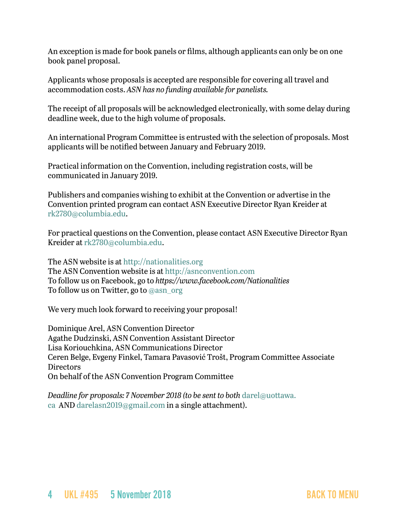An exception is made for book panels or films, although applicants can only be on one book panel proposal.

Applicants whose proposals is accepted are responsible for covering all travel and accommodation costs. *ASN has no funding available for panelists.*

The receipt of all proposals will be acknowledged electronically, with some delay during deadline week, due to the high volume of proposals.

An international Program Committee is entrusted with the selection of proposals. Most applicants will be notified between January and February 2019.

Practical information on the Convention, including registration costs, will be communicated in January 2019.

Publishers and companies wishing to exhibit at the Convention or advertise in the Convention printed program can contact ASN Executive Director Ryan Kreider at [rk2780@columbia.edu](mailto:rk2780@columbia.edu).

For practical questions on the Convention, please contact ASN Executive Director Ryan Kreider at [rk2780@columbia.edu.](mailto:rk2780@columbia.edu)

The ASN website is at [http://nationalities.org](http://nationalities.org/) The ASN Convention website is at [http://asnconvention.com](http://asnconvention.com/) To follow us on Facebook, go to *<https://www.facebook.com/Nationalities>* To follow us on Twitter, go to [@asn\\_org](https://twitter.com/ASN_Org?lang=en)

We very much look forward to receiving your proposal!

Dominique Arel, ASN Convention Director Agathe Dudzinski, ASN Convention Assistant Director Lisa Koriouchkina, ASN Communications Director Ceren Belge, Evgeny Finkel, Tamara Pavasović Trošt, Program Committee Associate **Directors** On behalf of the ASN Convention Program Committee

*Deadline for proposals: 7 November 2018 (to be sent to both [darel@uottawa.](mailto:darel@uottawa.ca)* [ca](mailto:darel@uottawa.ca)  AND [darelasn2019@gmail.com](mailto:darelasn2019@gmail.com) in a single attachment).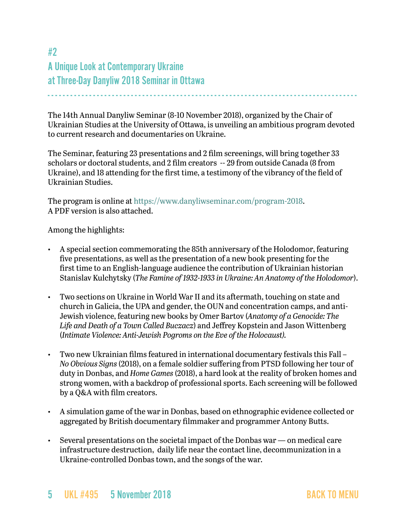# <span id="page-4-0"></span>#2 A Unique Look at Contemporary Ukraine at Three-Day Danyliw 2018 Seminar in Ottawa - - - - - - - - - - - - - - - - - - - - - - - - - - - - - - - - - - - - - - - - - - - - - - - - - - - - - - - - - - - - - - - - - - - - - - - - - - - - - - - - - -

The 14th Annual Danyliw Seminar (8-10 November 2018), organized by the Chair of Ukrainian Studies at the University of Ottawa, is unveiling an ambitious program devoted to current research and documentaries on Ukraine.

The Seminar, featuring 23 presentations and 2 film screenings, will bring together 33 scholars or doctoral students, and 2 film creators -- 29 from outside Canada (8 from Ukraine), and 18 attending for the first time, a testimony of the vibrancy of the field of Ukrainian Studies.

The program is online at [https://www.danyliwseminar.com/program-2018.](https://www.danyliwseminar.com/program-2018) A PDF version is also attached.

Among the highlights:

- A special section commemorating the 85th anniversary of the Holodomor, featuring five presentations, as well as the presentation of a new book presenting for the first time to an English-language audience the contribution of Ukrainian historian Stanislav Kulchytsky (*The Famine of 1932-1933 in Ukraine: An Anatomy of the Holodomor*).
- Two sections on Ukraine in World War II and its aftermath, touching on state and church in Galicia, the UPA and gender, the OUN and concentration camps, and anti-Jewish violence, featuring new books by Omer Bartov (*Anatomy of a Genocide: The Life and Death of a Town Called Buczacz*) and Jeffrey Kopstein and Jason Wittenberg (*Intimate Violence: Anti-Jewish Pogroms on the Eve of the Holocaust).*
- Two new Ukrainian films featured in international documentary festivals this Fall *No Obvious Signs* (2018), on a female soldier suffering from PTSD following her tour of duty in Donbas, and *Home Games* (2018), a hard look at the reality of broken homes and strong women, with a backdrop of professional sports. Each screening will be followed by a Q&A with film creators.
- A simulation game of the war in Donbas, based on ethnographic evidence collected or aggregated by British documentary filmmaker and programmer Antony Butts.
- Several presentations on the societal impact of the Donbas war  $-$  on medical care infrastructure destruction, daily life near the contact line, decommunization in a Ukraine-controlled Donbas town, and the songs of the war.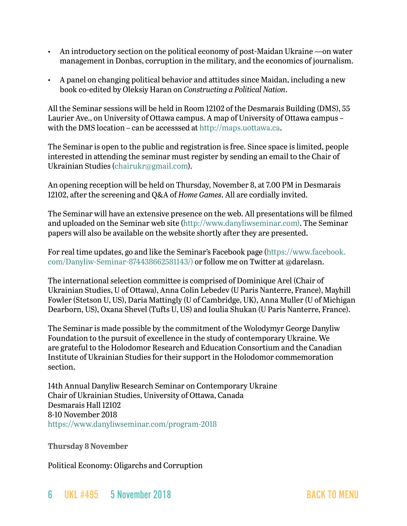- An introductory section on the political economy of post-Maidan Ukraine —on water management in Donbas, corruption in the military, and the economics of journalism.
- A panel on changing political behavior and attitudes since Maidan, including a new book co-edited by Oleksiy Haran on *Constructing a Political Nation*.

All the Seminar sessions will be held in Room 12102 of the Desmarais Building (DMS), 55 Laurier Ave., on University of Ottawa campus. A map of University of Ottawa campus – with the DMS location – can be accesssed at<http://maps.uottawa.ca>.

The Seminar is open to the public and registration is free. Since space is limited, people interested in attending the seminar must register by sending an email to the Chair of Ukrainian Studies [\(chairukr@gmail.com\)](mailto:chairukr@gmail.com).

An opening reception will be held on Thursday, November 8, at 7.00 PM in Desmarais 12102, after the screening and Q&A of *Home Games*. All are cordially invited.

The Seminar will have an extensive presence on the web. All presentations will be filmed and uploaded on the Seminar web site ([http://www.danyliwseminar.com\)](http://www.danyliwseminar.com)). The Seminar papers will also be available on the website shortly after they are presented.

For real time updates, go and like the Seminar's Facebook page [\(https://www.facebook.](https://www.facebook.com/Danyliw-Seminar-874438662581143/)) [com/Danyliw-Seminar-874438662581143/\)](https://www.facebook.com/Danyliw-Seminar-874438662581143/)) or follow me on Twitter at @darelasn.

The international selection committee is comprised of Dominique Arel (Chair of Ukrainian Studies, U of Ottawa), Anna Colin Lebedev (U Paris Nanterre, France), Mayhill Fowler (Stetson U, US), Daria Mattingly (U of Cambridge, UK), Anna Muller (U of Michigan Dearborn, US), Oxana Shevel (Tufts U, US) and Ioulia Shukan (U Paris Nanterre, France).

The Seminar is made possible by the commitment of the Wolodymyr George Danyliw Foundation to the pursuit of excellence in the study of contemporary Ukraine. We are grateful to the Holodomor Research and Education Consortium and the Canadian Institute of Ukrainian Studies for their support in the Holodomor commemoration section.

14th Annual Danyliw Research Seminar on Contemporary Ukraine Chair of Ukrainian Studies, University of Ottawa, Canada Desmarais Hall 12102 8-10 November 2018 <https://www.danyliwseminar.com/program-2018>

**Thursday 8 November**

Political Economy: Oligarchs and Corruption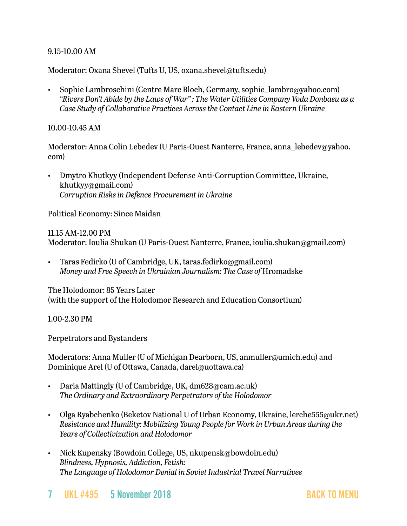### 9.15-10.00 AM

### Moderator: Oxana Shevel (Tufts U, US, oxana.shevel@tufts.edu)

• Sophie Lambroschini (Centre Marc Bloch, Germany, sophie\_lambro@yahoo.com) *"Rivers Don't Abide by the Laws of War" : The Water Utilities Company Voda Donbasu as a Case Study of Collaborative Practices Across the Contact Line in Eastern Ukraine*

#### 10.00-10.45 AM

Moderator: Anna Colin Lebedev (U Paris-Ouest Nanterre, France, anna lebedev@yahoo. com)

• Dmytro Khutkyy (Independent Defense Anti-Corruption Committee, Ukraine, khutkyy@gmail.com) *Corruption Risks in Defence Procurement in Ukraine*

Political Economy: Since Maidan

11.15 AM-12.00 PM Moderator: Ioulia Shukan (U Paris-Ouest Nanterre, France, ioulia.shukan@gmail.com)

• Taras Fedirko (U of Cambridge, UK, taras.fedirko@gmail.com) *Money and Free Speech in Ukrainian Journalism: The Case of* Hromadske

The Holodomor: 85 Years Later (with the support of the Holodomor Research and Education Consortium)

1.00-2.30 PM

Perpetrators and Bystanders

Moderators: Anna Muller (U of Michigan Dearborn, US, anmuller@umich.edu) and Dominique Arel (U of Ottawa, Canada, darel@uottawa.ca)

- Daria Mattingly (U of Cambridge, UK, dm628@cam.ac.uk) *The Ordinary and Extraordinary Perpetrators of the Holodomor*
- Olga Ryabchenko (Beketov National U of Urban Economy, Ukraine, lerche555@ukr.net) *Resistance and Humility: Mobilizing Young People for Work in Urban Areas during the Years of Collectivization and Holodomor*
- Nick Kupensky (Bowdoin College, US, nkupensk@bowdoin.edu) *Blindness, Hypnosis, Addiction, Fetish: The Language of Holodomor Denial in Soviet Industrial Travel Narratives*

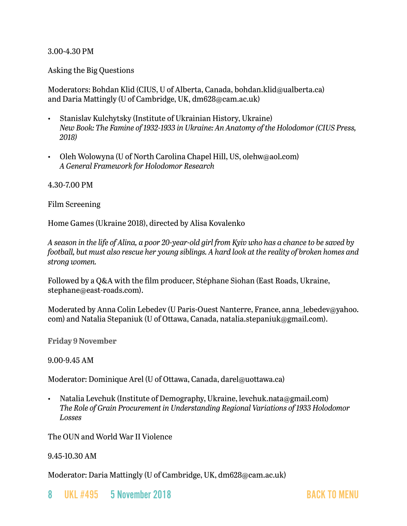### 3.00-4.30 PM

### Asking the Big Questions

Moderators: Bohdan Klid (CIUS, U of Alberta, Canada, bohdan.klid@ualberta.ca) and Daria Mattingly (U of Cambridge, UK, dm628@cam.ac.uk)

- Stanislav Kulchytsky (Institute of Ukrainian History, Ukraine) *New Book: The Famine of 1932-1933 in Ukraine: An Anatomy of the Holodomor (CIUS Press, 2018)*
- Oleh Wolowyna (U of North Carolina Chapel Hill, US, olehw@aol.com) *A General Framework for Holodomor Research*

4.30-7.00 PM

#### Film Screening

Home Games (Ukraine 2018), directed by Alisa Kovalenko

*A season in the life of Alina, a poor 20-year-old girl from Kyiv who has a chance to be saved by football, but must also rescue her young siblings. A hard look at the reality of broken homes and strong women.*

Followed by a Q&A with the film producer, Stéphane Siohan (East Roads, Ukraine, stephane@east-roads.com).

Moderated by Anna Colin Lebedev (U Paris-Ouest Nanterre, France, anna\_lebedev@yahoo. com) and Natalia Stepaniuk (U of Ottawa, Canada, natalia.stepaniuk@gmail.com).

**Friday 9 November**

9.00-9.45 AM

Moderator: Dominique Arel (U of Ottawa, Canada, darel@uottawa.ca)

• Natalia Levchuk (Institute of Demography, Ukraine, levchuk.nata@gmail.com) *The Role of Grain Procurement in Understanding Regional Variations of 1933 Holodomor Losses*

The OUN and World War II Violence

#### 9.45-10.30 AM

Moderator: Daria Mattingly (U of Cambridge, UK, dm628@cam.ac.uk)

8 UKL #495 5 November 2018 [BACK TO MENU](#page-0-0)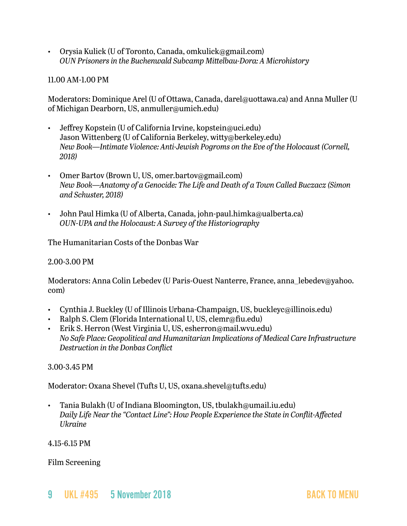• Orysia Kulick (U of Toronto, Canada, omkulick@gmail.com) *OUN Prisoners in the Buchenwald Subcamp Mittelbau-Dora: A Microhistory*

### 11.00 AM-1.00 PM

Moderators: Dominique Arel (U of Ottawa, Canada, darel@uottawa.ca) and Anna Muller (U of Michigan Dearborn, US, anmuller@umich.edu)

- Jeffrey Kopstein (U of California Irvine, kopstein@uci.edu) Jason Wittenberg (U of California Berkeley, witty@berkeley.edu) *New Book—Intimate Violence: Anti-Jewish Pogroms on the Eve of the Holocaust (Cornell, 2018)*
- Omer Bartov (Brown U, US, omer.bartov@gmail.com) *New Book—Anatomy of a Genocide: The Life and Death of a Town Called Buczacz (Simon and Schuster, 2018)*
- John Paul Himka (U of Alberta, Canada, john-paul.himka@ualberta.ca) *OUN-UPA and the Holocaust: A Survey of the Historiography*

The Humanitarian Costs of the Donbas War

### 2.00-3.00 PM

Moderators: Anna Colin Lebedev (U Paris-Ouest Nanterre, France, anna\_lebedev@yahoo. com)

- Cynthia J. Buckley (U of Illinois Urbana-Champaign, US, buckleyc@illinois.edu)
- Ralph S. Clem (Florida International U, US, clemr@fiu.edu)
- Erik S. Herron (West Virginia U, US, esherron@mail.wvu.edu) *No Safe Place: Geopolitical and Humanitarian Implications of Medical Care Infrastructure Destruction in the Donbas Conflict*

### 3.00-3.45 PM

Moderator: Oxana Shevel (Tufts U, US, oxana.shevel@tufts.edu)

• Tania Bulakh (U of Indiana Bloomington, US, tbulakh@umail.iu.edu) *Daily Life Near the "Contact Line": How People Experience the State in Conflit-Affected Ukraine*

4.15-6.15 PM

Film Screening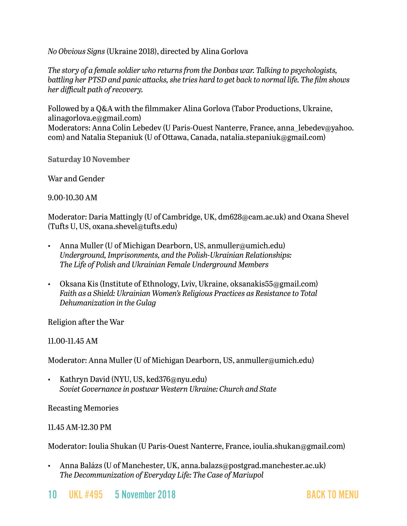*No Obvious Signs* (Ukraine 2018), directed by Alina Gorlova

*The story of a female soldier who returns from the Donbas war. Talking to psychologists, battling her PTSD and panic attacks, she tries hard to get back to normal life. The film shows her difficult path of recovery.*

Followed by a Q&A with the filmmaker Alina Gorlova (Tabor Productions, Ukraine, alinagorlova.e@gmail.com) Moderators: Anna Colin Lebedev (U Paris-Ouest Nanterre, France, anna\_lebedev@yahoo. com) and Natalia Stepaniuk (U of Ottawa, Canada, natalia.stepaniuk@gmail.com)

**Saturday 10 November**

War and Gender

9.00-10.30 AM

Moderator: Daria Mattingly (U of Cambridge, UK, dm628@cam.ac.uk) and Oxana Shevel (Tufts U, US, oxana.shevel@tufts.edu)

- Anna Muller (U of Michigan Dearborn, US, anmuller@umich.edu) *Underground, Imprisonments, and the Polish-Ukrainian Relationships: The Life of Polish and Ukrainian Female Underground Members*
- Oksana Kis (Institute of Ethnology, Lviv, Ukraine, oksanakis55@gmail.com) *Faith as a Shield: Ukrainian Women's Religious Practices as Resistance to Total Dehumanization in the Gulag*

Religion after the War

11.00-11.45 AM

Moderator: Anna Muller (U of Michigan Dearborn, US, anmuller@umich.edu)

• Kathryn David (NYU, US, ked376@nyu.edu) *Soviet Governance in postwar Western Ukraine: Church and State*

Recasting Memories

11.45 AM-12.30 PM

Moderator: Ioulia Shukan (U Paris-Ouest Nanterre, France, ioulia.shukan@gmail.com)

• Anna Balázs (U of Manchester, UK, anna.balazs@postgrad.manchester.ac.uk) *The Decommunization of Everyday Life: The Case of Mariupol*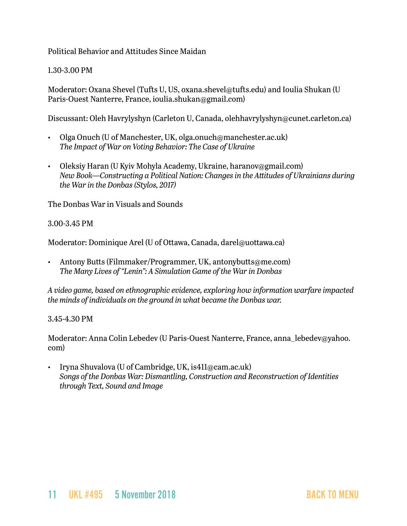### Political Behavior and Attitudes Since Maidan

### 1.30-3.00 PM

Moderator: Oxana Shevel (Tufts U, US, oxana.shevel@tufts.edu) and Ioulia Shukan (U Paris-Ouest Nanterre, France, ioulia.shukan@gmail.com)

Discussant: Oleh Havrylyshyn (Carleton U, Canada, olehhavrylyshyn@cunet.carleton.ca)

- Olga Onuch (U of Manchester, UK, olga.onuch@manchester.ac.uk) *The Impact of War on Voting Behavior: The Case of Ukraine*
- Oleksiy Haran (U Kyiv Mohyla Academy, Ukraine, haranov@gmail.com) *New Book—Constructing a Political Nation: Changes in the Attitudes of Ukrainians during the War in the Donbas (Stylos, 2017)*

The Donbas War in Visuals and Sounds

#### 3.00-3.45 PM

Moderator: Dominique Arel (U of Ottawa, Canada, darel@uottawa.ca)

• Antony Butts (Filmmaker/Programmer, UK, antonybutts@me.com) *The Many Lives of "Lenin": A Simulation Game of the War in Donbas*

*A video game, based on ethnographic evidence, exploring how information warfare impacted the minds of individuals on the ground in what became the Donbas war.*

#### 3.45-4.30 PM

Moderator: Anna Colin Lebedev (U Paris-Ouest Nanterre, France, anna lebedev@yahoo. com)

• Iryna Shuvalova (U of Cambridge, UK, is411@cam.ac.uk) *Songs of the Donbas War: Dismantling, Construction and Reconstruction of Identities through Text, Sound and Image*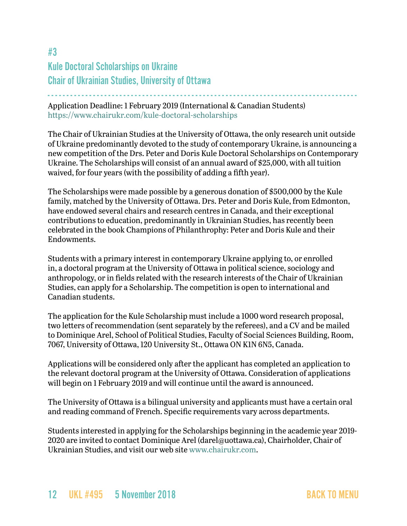# <span id="page-11-0"></span>#3 Kule Doctoral Scholarships on Ukraine Chair of Ukrainian Studies, University of Ottawa

- - - - - - - - - - - - - - - - - - - - - - - - - - - - - - - - - - - - - - - - - - - - - - - - - - - - - - - - - - - - - - - - - - - - - - - - - - - - - - - - - - Application Deadline: 1 February 2019 (International & Canadian Students) <https://www.chairukr.com/kule-doctoral-scholarships>

The Chair of Ukrainian Studies at the University of Ottawa, the only research unit outside of Ukraine predominantly devoted to the study of contemporary Ukraine, is announcing a new competition of the Drs. Peter and Doris Kule Doctoral Scholarships on Contemporary Ukraine. The Scholarships will consist of an annual award of \$25,000, with all tuition waived, for four years (with the possibility of adding a fifth year).

The Scholarships were made possible by a generous donation of \$500,000 by the Kule family, matched by the University of Ottawa. Drs. Peter and Doris Kule, from Edmonton, have endowed several chairs and research centres in Canada, and their exceptional contributions to education, predominantly in Ukrainian Studies, has recently been celebrated in the book Champions of Philanthrophy: Peter and Doris Kule and their Endowments.

Students with a primary interest in contemporary Ukraine applying to, or enrolled in, a doctoral program at the University of Ottawa in political science, sociology and anthropology, or in fields related with the research interests of the Chair of Ukrainian Studies, can apply for a Scholarship. The competition is open to international and Canadian students.

The application for the Kule Scholarship must include a 1000 word research proposal, two letters of recommendation (sent separately by the referees), and a CV and be mailed to Dominique Arel, School of Political Studies, Faculty of Social Sciences Building, Room, 7067, University of Ottawa, 120 University St., Ottawa ON K1N 6N5, Canada.

Applications will be considered only after the applicant has completed an application to the relevant doctoral program at the University of Ottawa. Consideration of applications will begin on 1 February 2019 and will continue until the award is announced.

The University of Ottawa is a bilingual university and applicants must have a certain oral and reading command of French. Specific requirements vary across departments.

Students interested in applying for the Scholarships beginning in the academic year 2019- 2020 are invited to contact Dominique Arel [\(darel@uottawa.ca\)](mailto:darel@uottawa.ca), Chairholder, Chair of Ukrainian Studies, and visit our web site [www.chairukr.com](http://www.chairukr.com).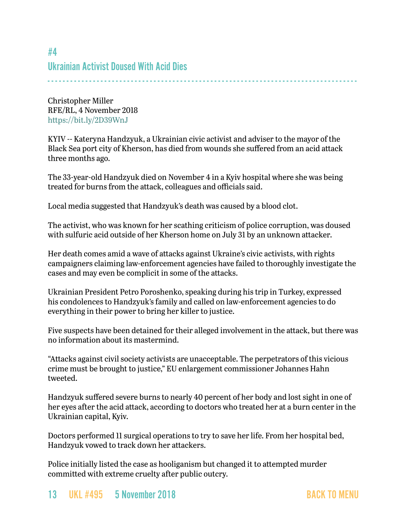## <span id="page-12-0"></span>#4 Ukrainian Activist Doused With Acid Dies

Christopher Miller RFE/RL, 4 November 2018 <https://bit.ly/2D39WnJ>

KYIV -- Kateryna Handzyuk, a Ukrainian civic activist and adviser to the mayor of the Black Sea port city of Kherson, has died from wounds she suffered from an acid attack three months ago.

- - - - - - - - - - - - - - - - - - - - - - - - - - - - - - - - - - - - - - - - - - - - - - - - - - - - - - - - - - - - - - - - - - - - - - - - - - - - - - - - - -

The 33-year-old Handzyuk died on November 4 in a Kyiv hospital where she was being treated for burns from the attack, colleagues and officials said.

Local media suggested that Handzyuk's death was caused by a blood clot.

The activist, who was known for her scathing criticism of police corruption, was doused with sulfuric acid outside of her Kherson home on July 31 by an unknown attacker.

Her death comes amid a wave of attacks against Ukraine's civic activists, with rights campaigners claiming law-enforcement agencies have failed to thoroughly investigate the cases and may even be complicit in some of the attacks.

Ukrainian President Petro Poroshenko, speaking during his trip in Turkey, expressed his condolences to Handzyuk's family and called on law-enforcement agencies to do everything in their power to bring her killer to justice.

Five suspects have been detained for their alleged involvement in the attack, but there was no information about its mastermind.

"Attacks against civil society activists are unacceptable. The perpetrators of this vicious crime must be brought to justice," EU enlargement commissioner Johannes Hahn tweeted.

Handzyuk suffered severe burns to nearly 40 percent of her body and lost sight in one of her eyes after the acid attack, according to doctors who treated her at a burn center in the Ukrainian capital, Kyiv.

Doctors performed 11 surgical operations to try to save her life. From her hospital bed, Handzyuk vowed to track down her attackers.

Police initially listed the case as hooliganism but changed it to attempted murder committed with extreme cruelty after public outcry.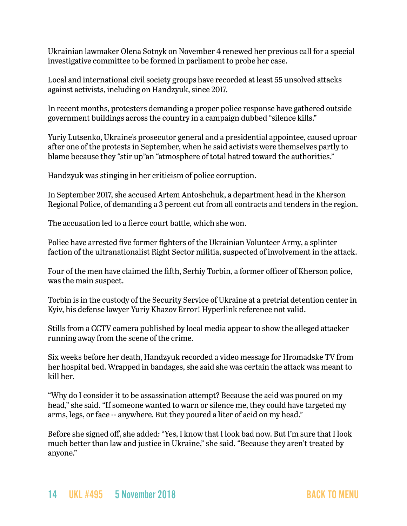Ukrainian lawmaker Olena Sotnyk on November 4 renewed her previous call for a special investigative committee to be formed in parliament to probe her case.

Local and international civil society groups have recorded at least 55 unsolved attacks against activists, including on Handzyuk, since 2017.

In recent months, protesters demanding a proper police response have gathered outside government buildings across the country in a campaign dubbed "silence kills."

Yuriy Lutsenko, Ukraine's prosecutor general and a presidential appointee, caused uproar after one of the protests in September, when he said activists were themselves partly to blame because they "stir up"an "atmosphere of total hatred toward the authorities."

Handzyuk was stinging in her criticism of police corruption.

In September 2017, she accused Artem Antoshchuk, a department head in the Kherson Regional Police, of demanding a 3 percent cut from all contracts and tenders in the region.

The accusation led to a fierce court battle, which she won.

Police have arrested five former fighters of the Ukrainian Volunteer Army, a splinter faction of the ultranationalist Right Sector militia, suspected of involvement in the attack.

Four of the men have claimed the fifth, Serhiy Torbin, a former officer of Kherson police, was the main suspect.

Torbin is in the custody of the Security Service of Ukraine at a pretrial detention center in Kyiv, his defense lawyer Yuriy Khazov Error! Hyperlink reference not valid.

Stills from a CCTV camera published by local media appear to show the alleged attacker running away from the scene of the crime.

Six weeks before her death, Handzyuk recorded a video message for Hromadske TV from her hospital bed. Wrapped in bandages, she said she was certain the attack was meant to kill her.

"Why do I consider it to be assassination attempt? Because the acid was poured on my head," she said. "If someone wanted to warn or silence me, they could have targeted my arms, legs, or face -- anywhere. But they poured a liter of acid on my head."

Before she signed off, she added: "Yes, I know that I look bad now. But I'm sure that I look much better than law and justice in Ukraine," she said. "Because they aren't treated by anyone."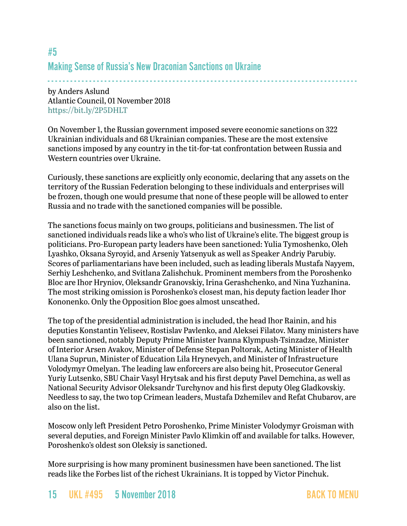## #5 Making Sense of Russia's New Draconian Sanctions on Ukraine

- - - - - - - - - - - - - - - - - - - - - - - - - - - - - - - - - - - - - - - - - - - - - - - - - - - - - - - - - - - - - - - - - - - - - - - - - - - - - - - - - by Anders Aslund Atlantic Council, 01 November 2018 <https://bit.ly/2P5DHLT>

On November 1, the Russian government imposed severe economic sanctions on 322 Ukrainian individuals and 68 Ukrainian companies. These are the most extensive sanctions imposed by any country in the tit-for-tat confrontation between Russia and Western countries over Ukraine.

Curiously, these sanctions are explicitly only economic, declaring that any assets on the territory of the Russian Federation belonging to these individuals and enterprises will be frozen, though one would presume that none of these people will be allowed to enter Russia and no trade with the sanctioned companies will be possible.

The sanctions focus mainly on two groups, politicians and businessmen. The list of sanctioned individuals reads like a who's who list of Ukraine's elite. The biggest group is politicians. Pro-European party leaders have been sanctioned: Yulia Tymoshenko, Oleh Lyashko, Oksana Syroyid, and Arseniy Yatsenyuk as well as Speaker Andriy Parubiy. Scores of parliamentarians have been included, such as leading liberals Mustafa Nayyem, Serhiy Leshchenko, and Svitlana Zalishchuk. Prominent members from the Poroshenko Bloc are Ihor Hryniov, Oleksandr Granovskiy, Irina Gerashchenko, and Nina Yuzhanina. The most striking omission is Poroshenko's closest man, his deputy faction leader Ihor Kononenko. Only the Opposition Bloc goes almost unscathed.

The top of the presidential administration is included, the head Ihor Rainin, and his deputies Konstantin Yeliseev, Rostislav Pavlenko, and Aleksei Filatov. Many ministers have been sanctioned, notably Deputy Prime Minister Ivanna Klympush-Tsinzadze, Minister of Interior Arsen Avakov, Minister of Defense Stepan Poltorak, Acting Minister of Health Ulana Suprun, Minister of Education Lila Hrynevych, and Minister of Infrastructure Volodymyr Omelyan. The leading law enforcers are also being hit, Prosecutor General Yuriy Lutsenko, SBU Chair Vasyl Hrytsak and his first deputy Pavel Demchina, as well as National Security Advisor Oleksandr Turchynov and his first deputy Oleg Gladkovskiy. Needless to say, the two top Crimean leaders, Mustafa Dzhemilev and Refat Chubarov, are also on the list.

Moscow only left President Petro Poroshenko, Prime Minister Volodymyr Groisman with several deputies, and Foreign Minister Pavlo Klimkin off and available for talks. However, Poroshenko's oldest son Oleksiy is sanctioned.

More surprising is how many prominent businessmen have been sanctioned. The list reads like the Forbes list of the richest Ukrainians. It is topped by Victor Pinchuk.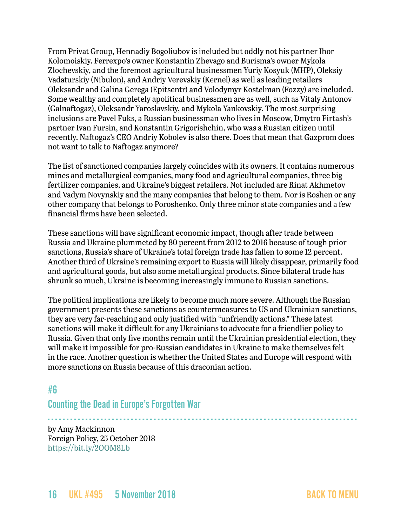From Privat Group, Hennadiy Bogoliubov is included but oddly not his partner Ihor Kolomoiskiy. Ferrexpo's owner Konstantin Zhevago and Burisma's owner Mykola Zlochevskiy, and the foremost agricultural businessmen Yuriy Kosyuk (MHP), Oleksiy Vadaturskiy (Nibulon), and Andriy Verevskiy (Kernel) as well as leading retailers Oleksandr and Galina Gerega (Epitsentr) and Volodymyr Kostelman (Fozzy) are included. Some wealthy and completely apolitical businessmen are as well, such as Vitaly Antonov (Galnaftogaz), Oleksandr Yaroslavskiy, and Mykola Yankovskiy. The most surprising inclusions are Pavel Fuks, a Russian businessman who lives in Moscow, Dmytro Firtash's partner Ivan Fursin, and Konstantin Grigorishchin, who was a Russian citizen until recently. Naftogaz's CEO Andriy Kobolev is also there. Does that mean that Gazprom does not want to talk to Naftogaz anymore?

The list of sanctioned companies largely coincides with its owners. It contains numerous mines and metallurgical companies, many food and agricultural companies, three big fertilizer companies, and Ukraine's biggest retailers. Not included are Rinat Akhmetov and Vadym Novynskiy and the many companies that belong to them. Nor is Roshen or any other company that belongs to Poroshenko. Only three minor state companies and a few financial firms have been selected.

These sanctions will have significant economic impact, though after trade between Russia and Ukraine plummeted by 80 percent from 2012 to 2016 because of tough prior sanctions, Russia's share of Ukraine's total foreign trade has fallen to some 12 percent. Another third of Ukraine's remaining export to Russia will likely disappear, primarily food and agricultural goods, but also some metallurgical products. Since bilateral trade has shrunk so much, Ukraine is becoming increasingly immune to Russian sanctions.

The political implications are likely to become much more severe. Although the Russian government presents these sanctions as countermeasures to US and Ukrainian sanctions, they are very far-reaching and only justified with "unfriendly actions." These latest sanctions will make it difficult for any Ukrainians to advocate for a friendlier policy to Russia. Given that only five months remain until the Ukrainian presidential election, they will make it impossible for pro-Russian candidates in Ukraine to make themselves felt in the race. Another question is whether the United States and Europe will respond with more sanctions on Russia because of this draconian action.

## #6

## Counting the Dead in Europe's Forgotten War

- - - - - - - - - - - - - - - - - - - - - - - - - - - - - - - - - - - - - - - - - - - - - - - - - - - - - - - - - - - - - - - - - - - - - - - - - - - - - - - - - by Amy Mackinnon Foreign Policy, 25 October 2018 <https://bit.ly/2OOM8Lb>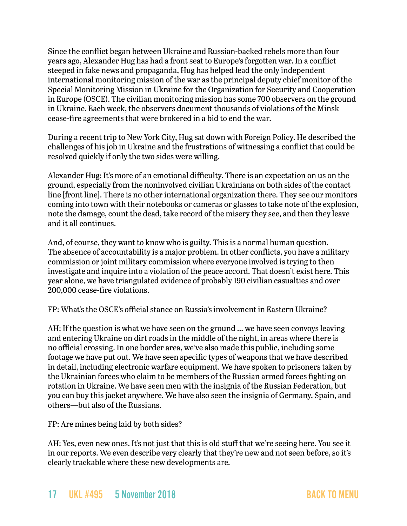Since the conflict began between Ukraine and Russian-backed rebels more than four years ago, Alexander Hug has had a front seat to Europe's forgotten war. In a conflict steeped in fake news and propaganda, Hug has helped lead the only independent international monitoring mission of the war as the principal deputy chief monitor of the Special Monitoring Mission in Ukraine for the Organization for Security and Cooperation in Europe (OSCE). The civilian monitoring mission has some 700 observers on the ground in Ukraine. Each week, the observers document thousands of violations of the Minsk cease-fire agreements that were brokered in a bid to end the war.

During a recent trip to New York City, Hug sat down with Foreign Policy. He described the challenges of his job in Ukraine and the frustrations of witnessing a conflict that could be resolved quickly if only the two sides were willing.

Alexander Hug: It's more of an emotional difficulty. There is an expectation on us on the ground, especially from the noninvolved civilian Ukrainians on both sides of the contact line [front line]. There is no other international organization there. They see our monitors coming into town with their notebooks or cameras or glasses to take note of the explosion, note the damage, count the dead, take record of the misery they see, and then they leave and it all continues.

And, of course, they want to know who is guilty. This is a normal human question. The absence of accountability is a major problem. In other conflicts, you have a military commission or joint military commission where everyone involved is trying to then investigate and inquire into a violation of the peace accord. That doesn't exist here. This year alone, we have triangulated evidence of probably 190 civilian casualties and over 200,000 cease-fire violations.

FP: What's the OSCE's official stance on Russia's involvement in Eastern Ukraine?

AH: If the question is what we have seen on the ground … we have seen convoys leaving and entering Ukraine on dirt roads in the middle of the night, in areas where there is no official crossing. In one border area, we've also made this public, including some footage we have put out. We have seen specific types of weapons that we have described in detail, including electronic warfare equipment. We have spoken to prisoners taken by the Ukrainian forces who claim to be members of the Russian armed forces fighting on rotation in Ukraine. We have seen men with the insignia of the Russian Federation, but you can buy this jacket anywhere. We have also seen the insignia of Germany, Spain, and others—but also of the Russians.

FP: Are mines being laid by both sides?

AH: Yes, even new ones. It's not just that this is old stuff that we're seeing here. You see it in our reports. We even describe very clearly that they're new and not seen before, so it's clearly trackable where these new developments are.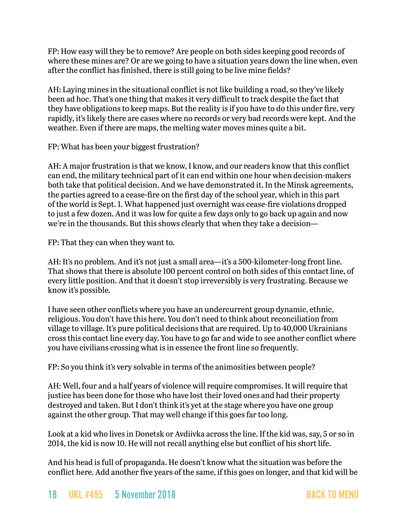FP: How easy will they be to remove? Are people on both sides keeping good records of where these mines are? Or are we going to have a situation years down the line when, even after the conflict has finished, there is still going to be live mine fields?

AH: Laying mines in the situational conflict is not like building a road, so they've likely been ad hoc. That's one thing that makes it very difficult to track despite the fact that they have obligations to keep maps. But the reality is if you have to do this under fire, very rapidly, it's likely there are cases where no records or very bad records were kept. And the weather. Even if there are maps, the melting water moves mines quite a bit.

FP: What has been your biggest frustration?

AH: A major frustration is that we know, I know, and our readers know that this conflict can end, the military technical part of it can end within one hour when decision-makers both take that political decision. And we have demonstrated it. In the Minsk agreements, the parties agreed to a cease-fire on the first day of the school year, which in this part of the world is Sept. 1. What happened just overnight was cease-fire violations dropped to just a few dozen. And it was low for quite a few days only to go back up again and now we're in the thousands. But this shows clearly that when they take a decision—

FP: That they can when they want to.

AH: It's no problem. And it's not just a small area—it's a 500-kilometer-long front line. That shows that there is absolute 100 percent control on both sides of this contact line, of every little position. And that it doesn't stop irreversibly is very frustrating. Because we know it's possible.

I have seen other conflicts where you have an undercurrent group dynamic, ethnic, religious. You don't have this here. You don't need to think about reconciliation from village to village. It's pure political decisions that are required. Up to 40,000 Ukrainians cross this contact line every day. You have to go far and wide to see another conflict where you have civilians crossing what is in essence the front line so frequently.

FP: So you think it's very solvable in terms of the animosities between people?

AH: Well, four and a half years of violence will require compromises. It will require that justice has been done for those who have lost their loved ones and had their property destroyed and taken. But I don't think it's yet at the stage where you have one group against the other group. That may well change if this goes far too long.

Look at a kid who lives in Donetsk or Avdiivka across the line. If the kid was, say, 5 or so in 2014, the kid is now 10. He will not recall anything else but conflict of his short life.

And his head is full of propaganda. He doesn't know what the situation was before the conflict here. Add another five years of the same, if this goes on longer, and that kid will be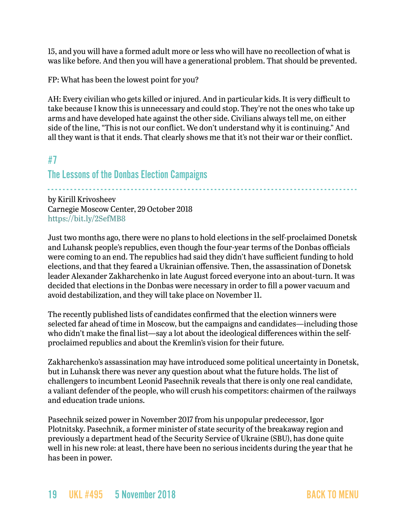15, and you will have a formed adult more or less who will have no recollection of what is was like before. And then you will have a generational problem. That should be prevented.

FP: What has been the lowest point for you?

AH: Every civilian who gets killed or injured. And in particular kids. It is very difficult to take because I know this is unnecessary and could stop. They're not the ones who take up arms and have developed hate against the other side. Civilians always tell me, on either side of the line, "This is not our conflict. We don't understand why it is continuing." And all they want is that it ends. That clearly shows me that it's not their war or their conflict.

## <span id="page-18-0"></span>#7

### The Lessons of the Donbas Election Campaigns

- - - - - - - - - - - - - - - - - - - - - - - - - - - - - - - - - - - - - - - - - - - - - - - - - - - - - - - - - - - - - - - - - - - - - - - - - - - - - - - - - by Kirill Krivosheev Carnegie Moscow Center, 29 October 2018 <https://bit.ly/2SefMB8>

Just two months ago, there were no plans to hold elections in the self-proclaimed Donetsk and Luhansk people's republics, even though the four-year terms of the Donbas officials were coming to an end. The republics had said they didn't have sufficient funding to hold elections, and that they feared a Ukrainian offensive. Then, the assassination of Donetsk leader Alexander Zakharchenko in late August forced everyone into an about-turn. It was decided that elections in the Donbas were necessary in order to fill a power vacuum and avoid destabilization, and they will take place on November 11.

The recently published lists of candidates confirmed that the election winners were selected far ahead of time in Moscow, but the campaigns and candidates—including those who didn't make the final list—say a lot about the ideological differences within the selfproclaimed republics and about the Kremlin's vision for their future.

Zakharchenko's assassination may have introduced some political uncertainty in Donetsk, but in Luhansk there was never any question about what the future holds. The list of challengers to incumbent Leonid Pasechnik reveals that there is only one real candidate, a valiant defender of the people, who will crush his competitors: chairmen of the railways and education trade unions.

Pasechnik seized power in November 2017 from his unpopular predecessor, Igor Plotnitsky. Pasechnik, a former minister of state security of the breakaway region and previously a department head of the Security Service of Ukraine (SBU), has done quite well in his new role: at least, there have been no serious incidents during the year that he has been in power.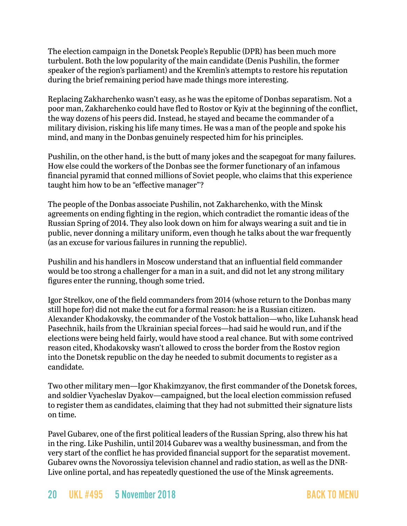The election campaign in the Donetsk People's Republic (DPR) has been much more turbulent. Both the low popularity of the main candidate (Denis Pushilin, the former speaker of the region's parliament) and the Kremlin's attempts to restore his reputation during the brief remaining period have made things more interesting.

Replacing Zakharchenko wasn't easy, as he was the epitome of Donbas separatism. Not a poor man, Zakharchenko could have fled to Rostov or Kyiv at the beginning of the conflict, the way dozens of his peers did. Instead, he stayed and became the commander of a military division, risking his life many times. He was a man of the people and spoke his mind, and many in the Donbas genuinely respected him for his principles.

Pushilin, on the other hand, is the butt of many jokes and the scapegoat for many failures. How else could the workers of the Donbas see the former functionary of an infamous financial pyramid that conned millions of Soviet people, who claims that this experience taught him how to be an "effective manager"?

The people of the Donbas associate Pushilin, not Zakharchenko, with the Minsk agreements on ending fighting in the region, which contradict the romantic ideas of the Russian Spring of 2014. They also look down on him for always wearing a suit and tie in public, never donning a military uniform, even though he talks about the war frequently (as an excuse for various failures in running the republic).

Pushilin and his handlers in Moscow understand that an influential field commander would be too strong a challenger for a man in a suit, and did not let any strong military figures enter the running, though some tried.

Igor Strelkov, one of the field commanders from 2014 (whose return to the Donbas many still hope for) did not make the cut for a formal reason: he is a Russian citizen. Alexander Khodakovsky, the commander of the Vostok battalion—who, like Luhansk head Pasechnik, hails from the Ukrainian special forces—had said he would run, and if the elections were being held fairly, would have stood a real chance. But with some contrived reason cited, Khodakovsky wasn't allowed to cross the border from the Rostov region into the Donetsk republic on the day he needed to submit documents to register as a candidate.

Two other military men—Igor Khakimzyanov, the first commander of the Donetsk forces, and soldier Vyacheslav Dyakov—campaigned, but the local election commission refused to register them as candidates, claiming that they had not submitted their signature lists on time.

Pavel Gubarev, one of the first political leaders of the Russian Spring, also threw his hat in the ring. Like Pushilin, until 2014 Gubarev was a wealthy businessman, and from the very start of the conflict he has provided financial support for the separatist movement. Gubarev owns the Novorossiya television channel and radio station, as well as the DNR-Live online portal, and has repeatedly questioned the use of the Minsk agreements.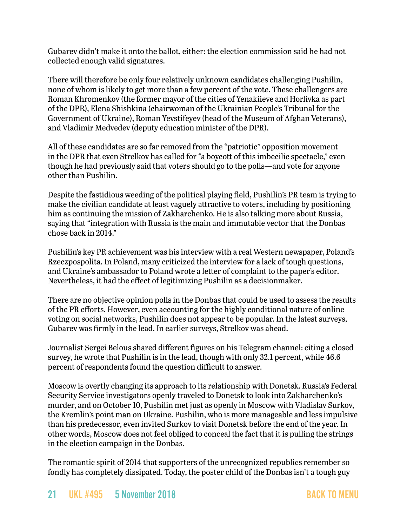Gubarev didn't make it onto the ballot, either: the election commission said he had not collected enough valid signatures.

There will therefore be only four relatively unknown candidates challenging Pushilin, none of whom is likely to get more than a few percent of the vote. These challengers are Roman Khromenkov (the former mayor of the cities of Yenakiieve and Horlivka as part of the DPR), Elena Shishkina (chairwoman of the Ukrainian People's Tribunal for the Government of Ukraine), Roman Yevstifeyev (head of the Museum of Afghan Veterans), and Vladimir Medvedev (deputy education minister of the DPR).

All of these candidates are so far removed from the "patriotic" opposition movement in the DPR that even Strelkov has called for "a boycott of this imbecilic spectacle," even though he had previously said that voters should go to the polls—and vote for anyone other than Pushilin.

Despite the fastidious weeding of the political playing field, Pushilin's PR team is trying to make the civilian candidate at least vaguely attractive to voters, including by positioning him as continuing the mission of Zakharchenko. He is also talking more about Russia, saying that "integration with Russia is the main and immutable vector that the Donbas chose back in 2014."

Pushilin's key PR achievement was his interview with a real Western newspaper, Poland's Rzeczpospolita. In Poland, many criticized the interview for a lack of tough questions, and Ukraine's ambassador to Poland wrote a letter of complaint to the paper's editor. Nevertheless, it had the effect of legitimizing Pushilin as a decisionmaker.

There are no objective opinion polls in the Donbas that could be used to assess the results of the PR efforts. However, even accounting for the highly conditional nature of online voting on social networks, Pushilin does not appear to be popular. In the latest surveys, Gubarev was firmly in the lead. In earlier surveys, Strelkov was ahead.

Journalist Sergei Belous shared different figures on his Telegram channel: citing a closed survey, he wrote that Pushilin is in the lead, though with only 32.1 percent, while 46.6 percent of respondents found the question difficult to answer.

Moscow is overtly changing its approach to its relationship with Donetsk. Russia's Federal Security Service investigators openly traveled to Donetsk to look into Zakharchenko's murder, and on October 10, Pushilin met just as openly in Moscow with Vladislav Surkov, the Kremlin's point man on Ukraine. Pushilin, who is more manageable and less impulsive than his predecessor, even invited Surkov to visit Donetsk before the end of the year. In other words, Moscow does not feel obliged to conceal the fact that it is pulling the strings in the election campaign in the Donbas.

The romantic spirit of 2014 that supporters of the unrecognized republics remember so fondly has completely dissipated. Today, the poster child of the Donbas isn't a tough guy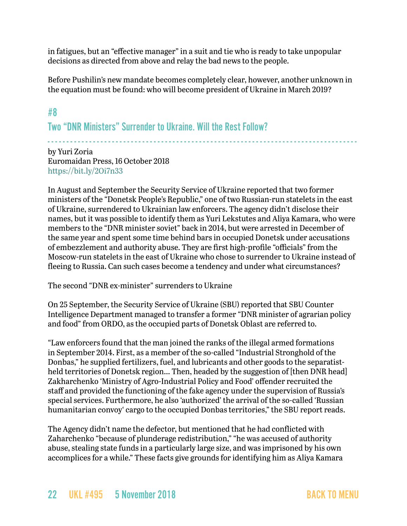in fatigues, but an "effective manager" in a suit and tie who is ready to take unpopular decisions as directed from above and relay the bad news to the people.

Before Pushilin's new mandate becomes completely clear, however, another unknown in the equation must be found: who will become president of Ukraine in March 2019?

## #8

Two "DNR Ministers" Surrender to Ukraine. Will the Rest Follow?

- - - - - - - - - - - - - - - - - - - - - - - - - - - - - - - - - - - - - - - - - - - - - - - - - - - - - - - - - - - - - - - - - - - - - - - - - - - - - - - - - by Yuri Zoria Euromaidan Press, 16 October 2018 <https://bit.ly/2Oi7n33>

In August and September the Security Service of Ukraine reported that two former ministers of the "Donetsk People's Republic," one of two Russian-run statelets in the east of Ukraine, surrendered to Ukrainian law enforcers. The agency didn't disclose their names, but it was possible to identify them as Yuri Lekstutes and Aliya Kamara, who were members to the "DNR minister soviet" back in 2014, but were arrested in December of the same year and spent some time behind bars in occupied Donetsk under accusations of embezzlement and authority abuse. They are first high-profile "officials" from the Moscow-run statelets in the east of Ukraine who chose to surrender to Ukraine instead of fleeing to Russia. Can such cases become a tendency and under what circumstances?

The second "DNR ex-minister" surrenders to Ukraine

On 25 September, the Security Service of Ukraine (SBU) reported that SBU Counter Intelligence Department managed to transfer a former "DNR minister of agrarian policy and food" from ORDO, as the occupied parts of Donetsk Oblast are referred to.

"Law enforcers found that the man joined the ranks of the illegal armed formations in September 2014. First, as a member of the so-called "Industrial Stronghold of the Donbas," he supplied fertilizers, fuel, and lubricants and other goods to the separatistheld territories of Donetsk region… Then, headed by the suggestion of [then DNR head] Zakharchenko 'Ministry of Agro-Industrial Policy and Food' offender recruited the staff and provided the functioning of the fake agency under the supervision of Russia's special services. Furthermore, he also 'authorized' the arrival of the so-called 'Russian humanitarian convoy' cargo to the occupied Donbas territories," the SBU report reads.

The Agency didn't name the defector, but mentioned that he had conflicted with Zaharchenko "because of plunderage redistribution," "he was accused of authority abuse, stealing state funds in a particularly large size, and was imprisoned by his own accomplices for a while." These facts give grounds for identifying him as Aliya Kamara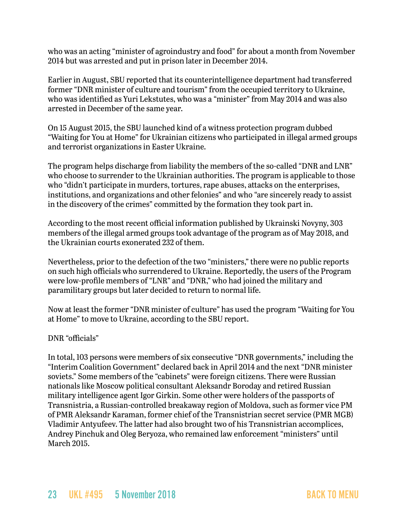who was an acting "minister of agroindustry and food" for about a month from November 2014 but was arrested and put in prison later in December 2014.

Earlier in August, SBU reported that its counterintelligence department had transferred former "DNR minister of culture and tourism" from the occupied territory to Ukraine, who was identified as Yuri Lekstutes, who was a "minister" from May 2014 and was also arrested in December of the same year.

On 15 August 2015, the SBU launched kind of a witness protection program dubbed "Waiting for You at Home" for Ukrainian citizens who participated in illegal armed groups and terrorist organizations in Easter Ukraine.

The program helps discharge from liability the members of the so-called "DNR and LNR" who choose to surrender to the Ukrainian authorities. The program is applicable to those who "didn't participate in murders, tortures, rape abuses, attacks on the enterprises, institutions, and organizations and other felonies" and who "are sincerely ready to assist in the discovery of the crimes" committed by the formation they took part in.

According to the most recent official information published by Ukrainski Novyny, 303 members of the illegal armed groups took advantage of the program as of May 2018, and the Ukrainian courts exonerated 232 of them.

Nevertheless, prior to the defection of the two "ministers," there were no public reports on such high officials who surrendered to Ukraine. Reportedly, the users of the Program were low-profile members of "LNR" and "DNR," who had joined the military and paramilitary groups but later decided to return to normal life.

Now at least the former "DNR minister of culture" has used the program "Waiting for You at Home" to move to Ukraine, according to the SBU report.

### DNR "officials"

In total, 103 persons were members of six consecutive "DNR governments," including the "Interim Coalition Government" declared back in April 2014 and the next "DNR minister soviets." Some members of the "cabinets" were foreign citizens. There were Russian nationals like Moscow political consultant Aleksandr Boroday and retired Russian military intelligence agent Igor Girkin. Some other were holders of the passports of Transnistria, a Russian-controlled breakaway region of Moldova, such as former vice PM of PMR Aleksandr Karaman, former chief of the Transnistrian secret service (PMR MGB) Vladimir Antyufeev. The latter had also brought two of his Transnistrian accomplices, Andrey Pinchuk and Oleg Beryoza, who remained law enforcement "ministers" until March 2015.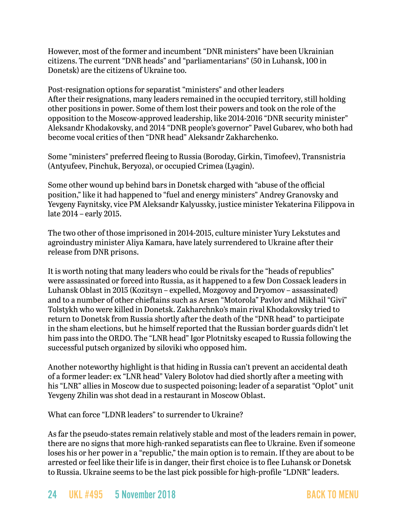However, most of the former and incumbent "DNR ministers" have been Ukrainian citizens. The current "DNR heads" and "parliamentarians" (50 in Luhansk, 100 in Donetsk) are the citizens of Ukraine too.

Post-resignation options for separatist "ministers" and other leaders After their resignations, many leaders remained in the occupied territory, still holding other positions in power. Some of them lost their powers and took on the role of the opposition to the Moscow-approved leadership, like 2014-2016 "DNR security minister" Aleksandr Khodakovsky, and 2014 "DNR people's governor" Pavel Gubarev, who both had become vocal critics of then "DNR head" Aleksandr Zakharchenko.

Some "ministers" preferred fleeing to Russia (Boroday, Girkin, Timofeev), Transnistria (Antyufeev, Pinchuk, Beryoza), or occupied Crimea (Lyagin).

Some other wound up behind bars in Donetsk charged with "abuse of the official position," like it had happened to "fuel and energy ministers" Andrey Granovsky and Yevgeny Faynitsky, vice PM Aleksandr Kalyussky, justice minister Yekaterina Filippova in late 2014 – early 2015.

The two other of those imprisoned in 2014-2015, culture minister Yury Lekstutes and agroindustry minister Aliya Kamara, have lately surrendered to Ukraine after their release from DNR prisons.

It is worth noting that many leaders who could be rivals for the "heads of republics" were assassinated or forced into Russia, as it happened to a few Don Cossack leaders in Luhansk Oblast in 2015 (Kozitsyn – expelled, Mozgovoy and Dryomov – assassinated) and to a number of other chieftains such as Arsen "Motorola" Pavlov and Mikhail "Givi" Tolstykh who were killed in Donetsk. Zakharchnko's main rival Khodakovsky tried to return to Donetsk from Russia shortly after the death of the "DNR head" to participate in the sham elections, but he himself reported that the Russian border guards didn't let him pass into the ORDO. The "LNR head" Igor Plotnitsky escaped to Russia following the successful putsch organized by siloviki who opposed him.

Another noteworthy highlight is that hiding in Russia can't prevent an accidental death of a former leader: ex "LNR head" Valery Bolotov had died shortly after a meeting with his "LNR" allies in Moscow due to suspected poisoning; leader of a separatist "Oplot" unit Yevgeny Zhilin was shot dead in a restaurant in Moscow Oblast.

What can force "LDNR leaders" to surrender to Ukraine?

As far the pseudo-states remain relatively stable and most of the leaders remain in power, there are no signs that more high-ranked separatists can flee to Ukraine. Even if someone loses his or her power in a "republic," the main option is to remain. If they are about to be arrested or feel like their life is in danger, their first choice is to flee Luhansk or Donetsk to Russia. Ukraine seems to be the last pick possible for high-profile "LDNR" leaders.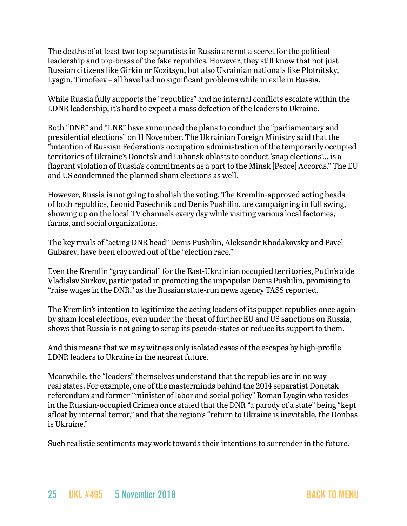The deaths of at least two top separatists in Russia are not a secret for the political leadership and top-brass of the fake republics. However, they still know that not just Russian citizens like Girkin or Kozitsyn, but also Ukrainian nationals like Plotnitsky, Lyagin, Timofeev – all have had no significant problems while in exile in Russia.

While Russia fully supports the "republics" and no internal conflicts escalate within the LDNR leadership, it's hard to expect a mass defection of the leaders to Ukraine.

Both "DNR" and "LNR" have announced the plans to conduct the "parliamentary and presidential elections" on 11 November. The Ukrainian Foreign Ministry said that the "intention of Russian Federation's occupation administration of the temporarily occupied territories of Ukraine's Donetsk and Luhansk oblasts to conduct 'snap elections'… is a flagrant violation of Russia's commitments as a part to the Minsk [Peace] Accords." The EU and US condemned the planned sham elections as well.

However, Russia is not going to abolish the voting. The Kremlin-approved acting heads of both republics, Leonid Pasechnik and Denis Pushilin, are campaigning in full swing, showing up on the local TV channels every day while visiting various local factories, farms, and social organizations.

The key rivals of "acting DNR head" Denis Pushilin, Aleksandr Khodakovsky and Pavel Gubarev, have been elbowed out of the "election race."

Even the Kremlin "gray cardinal" for the East-Ukrainian occupied territories, Putin's aide Vladislav Surkov, participated in promoting the unpopular Denis Pushilin, promising to "raise wages in the DNR," as the Russian state-run news agency TASS reported.

The Kremlin's intention to legitimize the acting leaders of its puppet republics once again by sham local elections, even under the threat of further EU and US sanctions on Russia, shows that Russia is not going to scrap its pseudo-states or reduce its support to them.

And this means that we may witness only isolated cases of the escapes by high-profile LDNR leaders to Ukraine in the nearest future.

Meanwhile, the "leaders" themselves understand that the republics are in no way real states. For example, one of the masterminds behind the 2014 separatist Donetsk referendum and former "minister of labor and social policy" Roman Lyagin who resides in the Russian-occupied Crimea once stated that the DNR "a parody of a state" being "kept afloat by internal terror," and that the region's "return to Ukraine is inevitable, the Donbas is Ukraine."

Such realistic sentiments may work towards their intentions to surrender in the future.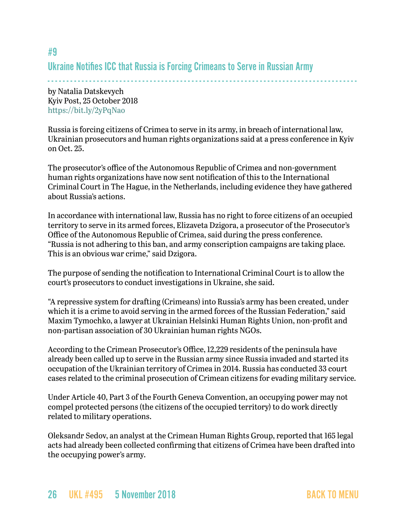## <span id="page-25-0"></span>#9 Ukraine Notifies ICC that Russia is Forcing Crimeans to Serve in Russian Army

- - - - - - - - - - - - - - - - - - - - - - - - - - - - - - - - - - - - - - - - - - - - - - - - - - - - - - - - - - - - - - - - - - - - - - - - - - - - - - - - - by Natalia Datskevych Kyiv Post, 25 October 2018 <https://bit.ly/2yPqNao>

Russia is forcing citizens of Crimea to serve in its army, in breach of international law, Ukrainian prosecutors and human rights organizations said at a press conference in Kyiv on Oct. 25.

The prosecutor's office of the Autonomous Republic of Crimea and non-government human rights organizations have now sent notification of this to the International Criminal Court in The Hague, in the Netherlands, including evidence they have gathered about Russia's actions.

In accordance with international law, Russia has no right to force citizens of an occupied territory to serve in its armed forces, Elizaveta Dzigora, a prosecutor of the Prosecutor's Office of the Autonomous Republic of Crimea, said during the press conference. "Russia is not adhering to this ban, and army conscription campaigns are taking place. This is an obvious war crime," said Dzigora.

The purpose of sending the notification to International Criminal Court is to allow the court's prosecutors to conduct investigations in Ukraine, she said.

"A repressive system for drafting (Crimeans) into Russia's army has been created, under which it is a crime to avoid serving in the armed forces of the Russian Federation," said Maxim Tymochko, a lawyer at Ukrainian Helsinki Human Rights Union, non-profit and non-partisan association of 30 Ukrainian human rights NGOs.

According to the Crimean Prosecutor's Office, 12,229 residents of the peninsula have already been called up to serve in the Russian army since Russia invaded and started its occupation of the Ukrainian territory of Crimea in 2014. Russia has conducted 33 court cases related to the criminal prosecution of Crimean citizens for evading military service.

Under Article 40, Part 3 of the Fourth Geneva Convention, an occupying power may not compel protected persons (the citizens of the occupied territory) to do work directly related to military operations.

Oleksandr Sedov, an analyst at the Crimean Human Rights Group, reported that 165 legal acts had already been collected confirming that citizens of Crimea have been drafted into the occupying power's army.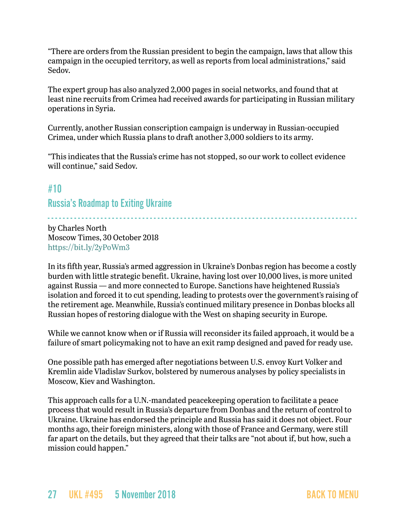"There are orders from the Russian president to begin the campaign, laws that allow this campaign in the occupied territory, as well as reports from local administrations," said Sedov.

The expert group has also analyzed 2,000 pages in social networks, and found that at least nine recruits from Crimea had received awards for participating in Russian military operations in Syria.

Currently, another Russian conscription campaign is underway in Russian-occupied Crimea, under which Russia plans to draft another 3,000 soldiers to its army.

"This indicates that the Russia's crime has not stopped, so our work to collect evidence will continue," said Sedov.

## #10

## Russia's Roadmap to Exiting Ukraine

- - - - - - - - - - - - - - - - - - - - - - - - - - - - - - - - - - - - - - - - - - - - - - - - - - - - - - - - - - - - - - - - - - - - - - - - - - - - - - - - - by Charles North Moscow Times, 30 October 2018 <https://bit.ly/2yPoWm3>

In its fifth year, Russia's armed aggression in Ukraine's Donbas region has become a costly burden with little strategic benefit. Ukraine, having lost over 10,000 lives, is more united against Russia — and more connected to Europe. Sanctions have heightened Russia's isolation and forced it to cut spending, leading to protests over the government's raising of the retirement age. Meanwhile, Russia's continued military presence in Donbas blocks all Russian hopes of restoring dialogue with the West on shaping security in Europe.

While we cannot know when or if Russia will reconsider its failed approach, it would be a failure of smart policymaking not to have an exit ramp designed and paved for ready use.

One possible path has emerged after negotiations between U.S. envoy Kurt Volker and Kremlin aide Vladislav Surkov, bolstered by numerous analyses by policy specialists in Moscow, Kiev and Washington.

This approach calls for a U.N.-mandated peacekeeping operation to facilitate a peace process that would result in Russia's departure from Donbas and the return of control to Ukraine. Ukraine has endorsed the principle and Russia has said it does not object. Four months ago, their foreign ministers, along with those of France and Germany, were still far apart on the details, but they agreed that their talks are "not about if, but how, such a mission could happen."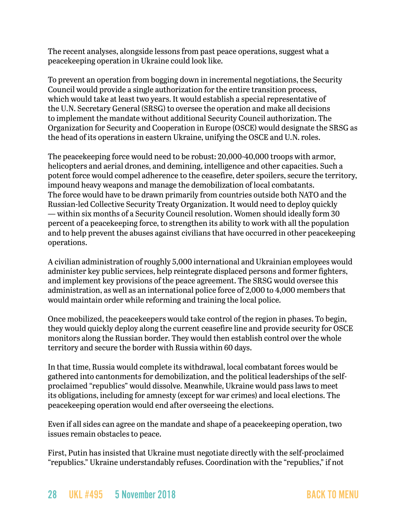The recent analyses, alongside lessons from past peace operations, suggest what a peacekeeping operation in Ukraine could look like.

To prevent an operation from bogging down in incremental negotiations, the Security Council would provide a single authorization for the entire transition process, which would take at least two years. It would establish a special representative of the U.N. Secretary General (SRSG) to oversee the operation and make all decisions to implement the mandate without additional Security Council authorization. The Organization for Security and Cooperation in Europe (OSCE) would designate the SRSG as the head of its operations in eastern Ukraine, unifying the OSCE and U.N. roles.

The peacekeeping force would need to be robust: 20,000-40,000 troops with armor, helicopters and aerial drones, and demining, intelligence and other capacities. Such a potent force would compel adherence to the ceasefire, deter spoilers, secure the territory, impound heavy weapons and manage the demobilization of local combatants. The force would have to be drawn primarily from countries outside both NATO and the Russian-led Collective Security Treaty Organization. It would need to deploy quickly — within six months of a Security Council resolution. Women should ideally form 30 percent of a peacekeeping force, to strengthen its ability to work with all the population and to help prevent the abuses against civilians that have occurred in other peacekeeping operations.

A civilian administration of roughly 5,000 international and Ukrainian employees would administer key public services, help reintegrate displaced persons and former fighters, and implement key provisions of the peace agreement. The SRSG would oversee this administration, as well as an international police force of 2,000 to 4,000 members that would maintain order while reforming and training the local police.

Once mobilized, the peacekeepers would take control of the region in phases. To begin, they would quickly deploy along the current ceasefire line and provide security for OSCE monitors along the Russian border. They would then establish control over the whole territory and secure the border with Russia within 60 days.

In that time, Russia would complete its withdrawal, local combatant forces would be gathered into cantonments for demobilization, and the political leaderships of the selfproclaimed "republics" would dissolve. Meanwhile, Ukraine would pass laws to meet its obligations, including for amnesty (except for war crimes) and local elections. The peacekeeping operation would end after overseeing the elections.

Even if all sides can agree on the mandate and shape of a peacekeeping operation, two issues remain obstacles to peace.

First, Putin has insisted that Ukraine must negotiate directly with the self-proclaimed "republics." Ukraine understandably refuses. Coordination with the "republics," if not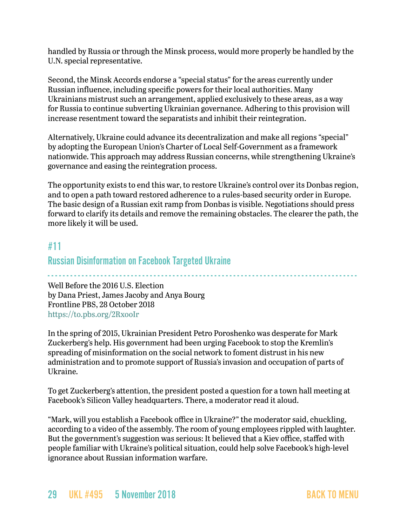handled by Russia or through the Minsk process, would more properly be handled by the U.N. special representative.

Second, the Minsk Accords endorse a "special status" for the areas currently under Russian influence, including specific powers for their local authorities. Many Ukrainians mistrust such an arrangement, applied exclusively to these areas, as a way for Russia to continue subverting Ukrainian governance. Adhering to this provision will increase resentment toward the separatists and inhibit their reintegration.

Alternatively, Ukraine could advance its decentralization and make all regions "special" by adopting the European Union's Charter of Local Self-Government as a framework nationwide. This approach may address Russian concerns, while strengthening Ukraine's governance and easing the reintegration process.

The opportunity exists to end this war, to restore Ukraine's control over its Donbas region, and to open a path toward restored adherence to a rules-based security order in Europe. The basic design of a Russian exit ramp from Donbas is visible. Negotiations should press forward to clarify its details and remove the remaining obstacles. The clearer the path, the more likely it will be used.

## <span id="page-28-0"></span>#11

## Russian Disinformation on Facebook Targeted Ukraine

- - - - - - - - - - - - - - - - - - - - - - - - - - - - - - - - - - - - - - - - - - - - - - - - - - - - - - - - - - - - - - - - - - - - - - - - - - - - - - - - - - Well Before the 2016 U.S. Election by Dana Priest, James Jacoby and Anya Bourg Frontline PBS, 28 October 2018 <https://to.pbs.org/2RxooIr>

In the spring of 2015, Ukrainian President Petro Poroshenko was desperate for Mark Zuckerberg's help. His government had been urging Facebook to stop the Kremlin's spreading of misinformation on the social network to foment distrust in his new administration and to promote support of Russia's invasion and occupation of parts of Ukraine.

To get Zuckerberg's attention, the president posted a question for a town hall meeting at Facebook's Silicon Valley headquarters. There, a moderator read it aloud.

"Mark, will you establish a Facebook office in Ukraine?" the moderator said, chuckling, according to a video of the assembly. The room of young employees rippled with laughter. But the government's suggestion was serious: It believed that a Kiev office, staffed with people familiar with Ukraine's political situation, could help solve Facebook's high-level ignorance about Russian information warfare.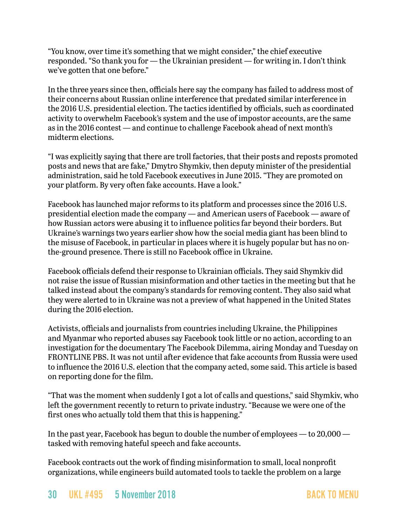"You know, over time it's something that we might consider," the chief executive responded. "So thank you for — the Ukrainian president — for writing in. I don't think we've gotten that one before."

In the three years since then, officials here say the company has failed to address most of their concerns about Russian online interference that predated similar interference in the 2016 U.S. presidential election. The tactics identified by officials, such as coordinated activity to overwhelm Facebook's system and the use of impostor accounts, are the same as in the 2016 contest — and continue to challenge Facebook ahead of next month's midterm elections.

"I was explicitly saying that there are troll factories, that their posts and reposts promoted posts and news that are fake," Dmytro Shymkiv, then deputy minister of the presidential administration, said he told Facebook executives in June 2015. "They are promoted on your platform. By very often fake accounts. Have a look."

Facebook has launched major reforms to its platform and processes since the 2016 U.S. presidential election made the company — and American users of Facebook — aware of how Russian actors were abusing it to influence politics far beyond their borders. But Ukraine's warnings two years earlier show how the social media giant has been blind to the misuse of Facebook, in particular in places where it is hugely popular but has no onthe-ground presence. There is still no Facebook office in Ukraine.

Facebook officials defend their response to Ukrainian officials. They said Shymkiv did not raise the issue of Russian misinformation and other tactics in the meeting but that he talked instead about the company's standards for removing content. They also said what they were alerted to in Ukraine was not a preview of what happened in the United States during the 2016 election.

Activists, officials and journalists from countries including Ukraine, the Philippines and Myanmar who reported abuses say Facebook took little or no action, according to an investigation for the documentary The Facebook Dilemma, airing Monday and Tuesday on FRONTLINE PBS. It was not until after evidence that fake accounts from Russia were used to influence the 2016 U.S. election that the company acted, some said. This article is based on reporting done for the film.

"That was the moment when suddenly I got a lot of calls and questions," said Shymkiv, who left the government recently to return to private industry. "Because we were one of the first ones who actually told them that this is happening."

In the past year, Facebook has begun to double the number of employees — to 20,000 tasked with removing hateful speech and fake accounts.

Facebook contracts out the work of finding misinformation to small, local nonprofit organizations, while engineers build automated tools to tackle the problem on a large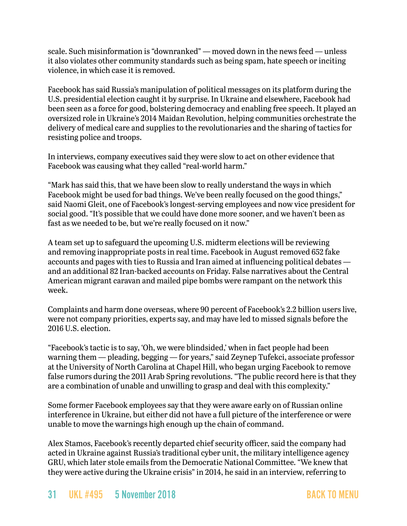scale. Such misinformation is "downranked" — moved down in the news feed — unless it also violates other community standards such as being spam, hate speech or inciting violence, in which case it is removed.

Facebook has said Russia's manipulation of political messages on its platform during the U.S. presidential election caught it by surprise. In Ukraine and elsewhere, Facebook had been seen as a force for good, bolstering democracy and enabling free speech. It played an oversized role in Ukraine's 2014 Maidan Revolution, helping communities orchestrate the delivery of medical care and supplies to the revolutionaries and the sharing of tactics for resisting police and troops.

In interviews, company executives said they were slow to act on other evidence that Facebook was causing what they called "real-world harm."

"Mark has said this, that we have been slow to really understand the ways in which Facebook might be used for bad things. We've been really focused on the good things," said Naomi Gleit, one of Facebook's longest-serving employees and now vice president for social good. "It's possible that we could have done more sooner, and we haven't been as fast as we needed to be, but we're really focused on it now."

A team set up to safeguard the upcoming U.S. midterm elections will be reviewing and removing inappropriate posts in real time. Facebook in August removed 652 fake accounts and pages with ties to Russia and Iran aimed at influencing political debates and an additional 82 Iran-backed accounts on Friday. False narratives about the Central American migrant caravan and mailed pipe bombs were rampant on the network this week.

Complaints and harm done overseas, where 90 percent of Facebook's 2.2 billion users live, were not company priorities, experts say, and may have led to missed signals before the 2016 U.S. election.

"Facebook's tactic is to say, 'Oh, we were blindsided,' when in fact people had been warning them — pleading, begging — for years," said Zeynep Tufekci, associate professor at the University of North Carolina at Chapel Hill, who began urging Facebook to remove false rumors during the 2011 Arab Spring revolutions. "The public record here is that they are a combination of unable and unwilling to grasp and deal with this complexity."

Some former Facebook employees say that they were aware early on of Russian online interference in Ukraine, but either did not have a full picture of the interference or were unable to move the warnings high enough up the chain of command.

Alex Stamos, Facebook's recently departed chief security officer, said the company had acted in Ukraine against Russia's traditional cyber unit, the military intelligence agency GRU, which later stole emails from the Democratic National Committee. "We knew that they were active during the Ukraine crisis" in 2014, he said in an interview, referring to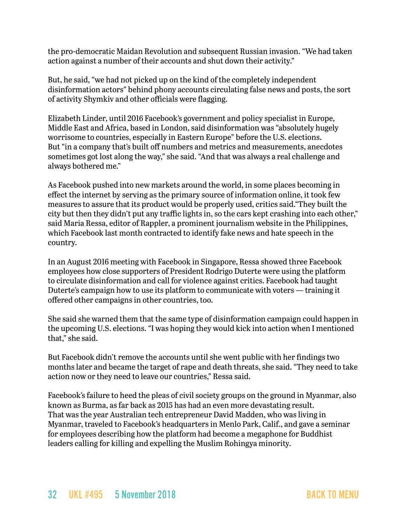the pro-democratic Maidan Revolution and subsequent Russian invasion. "We had taken action against a number of their accounts and shut down their activity."

But, he said, "we had not picked up on the kind of the completely independent disinformation actors" behind phony accounts circulating false news and posts, the sort of activity Shymkiv and other officials were flagging.

Elizabeth Linder, until 2016 Facebook's government and policy specialist in Europe, Middle East and Africa, based in London, said disinformation was "absolutely hugely worrisome to countries, especially in Eastern Europe" before the U.S. elections. But "in a company that's built off numbers and metrics and measurements, anecdotes sometimes got lost along the way," she said. "And that was always a real challenge and always bothered me."

As Facebook pushed into new markets around the world, in some places becoming in effect the internet by serving as the primary source of information online, it took few measures to assure that its product would be properly used, critics said."They built the city but then they didn't put any traffic lights in, so the cars kept crashing into each other," said Maria Ressa, editor of Rappler, a prominent journalism website in the Philippines, which Facebook last month contracted to identify fake news and hate speech in the country.

In an August 2016 meeting with Facebook in Singapore, Ressa showed three Facebook employees how close supporters of President Rodrigo Duterte were using the platform to circulate disinformation and call for violence against critics. Facebook had taught Duterte's campaign how to use its platform to communicate with voters — training it offered other campaigns in other countries, too.

She said she warned them that the same type of disinformation campaign could happen in the upcoming U.S. elections. "I was hoping they would kick into action when I mentioned that," she said.

But Facebook didn't remove the accounts until she went public with her findings two months later and became the target of rape and death threats, she said. "They need to take action now or they need to leave our countries," Ressa said.

Facebook's failure to heed the pleas of civil society groups on the ground in Myanmar, also known as Burma, as far back as 2015 has had an even more devastating result. That was the year Australian tech entrepreneur David Madden, who was living in Myanmar, traveled to Facebook's headquarters in Menlo Park, Calif., and gave a seminar for employees describing how the platform had become a megaphone for Buddhist leaders calling for killing and expelling the Muslim Rohingya minority.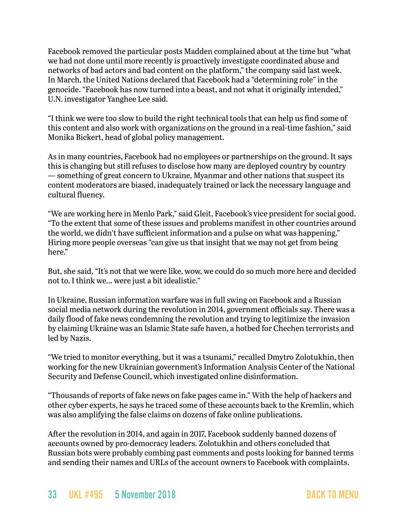Facebook removed the particular posts Madden complained about at the time but "what we had not done until more recently is proactively investigate coordinated abuse and networks of bad actors and bad content on the platform," the company said last week. In March, the United Nations declared that Facebook had a "determining role" in the genocide. "Facebook has now turned into a beast, and not what it originally intended," U.N. investigator Yanghee Lee said.

"I think we were too slow to build the right technical tools that can help us find some of this content and also work with organizations on the ground in a real-time fashion," said Monika Bickert, head of global policy management.

As in many countries, Facebook had no employees or partnerships on the ground. It says this is changing but still refuses to disclose how many are deployed country by country — something of great concern to Ukraine, Myanmar and other nations that suspect its content moderators are biased, inadequately trained or lack the necessary language and cultural fluency.

"We are working here in Menlo Park," said Gleit, Facebook's vice president for social good. "To the extent that some of these issues and problems manifest in other countries around the world, we didn't have sufficient information and a pulse on what was happening." Hiring more people overseas "can give us that insight that we may not get from being here."

But, she said, "It's not that we were like, wow, we could do so much more here and decided not to. I think we… were just a bit idealistic."

In Ukraine, Russian information warfare was in full swing on Facebook and a Russian social media network during the revolution in 2014, government officials say. There was a daily flood of fake news condemning the revolution and trying to legitimize the invasion by claiming Ukraine was an Islamic State safe haven, a hotbed for Chechen terrorists and led by Nazis.

"We tried to monitor everything, but it was a tsunami," recalled Dmytro Zolotukhin, then working for the new Ukrainian government's Information Analysis Center of the National Security and Defense Council, which investigated online disinformation.

"Thousands of reports of fake news on fake pages came in." With the help of hackers and other cyber experts, he says he traced some of these accounts back to the Kremlin, which was also amplifying the false claims on dozens of fake online publications.

After the revolution in 2014, and again in 2017, Facebook suddenly banned dozens of accounts owned by pro-democracy leaders. Zolotukhin and others concluded that Russian bots were probably combing past comments and posts looking for banned terms and sending their names and URLs of the account owners to Facebook with complaints.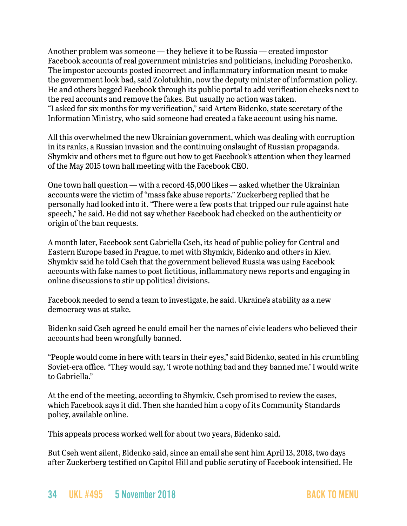Another problem was someone — they believe it to be Russia — created impostor Facebook accounts of real government ministries and politicians, including Poroshenko. The impostor accounts posted incorrect and inflammatory information meant to make the government look bad, said Zolotukhin, now the deputy minister of information policy. He and others begged Facebook through its public portal to add verification checks next to the real accounts and remove the fakes. But usually no action was taken. "I asked for six months for my verification," said Artem Bidenko, state secretary of the Information Ministry, who said someone had created a fake account using his name.

All this overwhelmed the new Ukrainian government, which was dealing with corruption in its ranks, a Russian invasion and the continuing onslaught of Russian propaganda. Shymkiv and others met to figure out how to get Facebook's attention when they learned of the May 2015 town hall meeting with the Facebook CEO.

One town hall question — with a record 45,000 likes — asked whether the Ukrainian accounts were the victim of "mass fake abuse reports." Zuckerberg replied that he personally had looked into it. "There were a few posts that tripped our rule against hate speech," he said. He did not say whether Facebook had checked on the authenticity or origin of the ban requests.

A month later, Facebook sent Gabriella Cseh, its head of public policy for Central and Eastern Europe based in Prague, to met with Shymkiv, Bidenko and others in Kiev. Shymkiv said he told Cseh that the government believed Russia was using Facebook accounts with fake names to post fictitious, inflammatory news reports and engaging in online discussions to stir up political divisions.

Facebook needed to send a team to investigate, he said. Ukraine's stability as a new democracy was at stake.

Bidenko said Cseh agreed he could email her the names of civic leaders who believed their accounts had been wrongfully banned.

"People would come in here with tears in their eyes," said Bidenko, seated in his crumbling Soviet-era office. "They would say, 'I wrote nothing bad and they banned me.' I would write to Gabriella."

At the end of the meeting, according to Shymkiv, Cseh promised to review the cases, which Facebook says it did. Then she handed him a copy of its Community Standards policy, available online.

This appeals process worked well for about two years, Bidenko said.

But Cseh went silent, Bidenko said, since an email she sent him April 13, 2018, two days after Zuckerberg testified on Capitol Hill and public scrutiny of Facebook intensified. He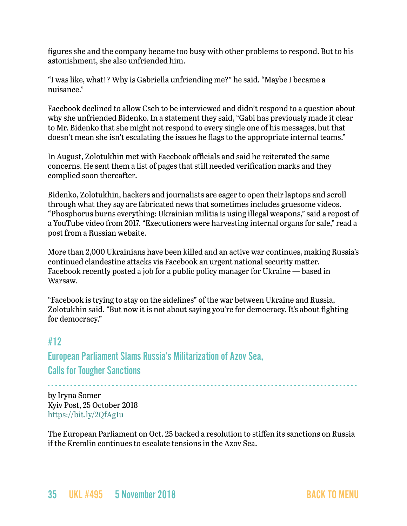figures she and the company became too busy with other problems to respond. But to his astonishment, she also unfriended him.

"I was like, what!? Why is Gabriella unfriending me?" he said. "Maybe I became a nuisance."

Facebook declined to allow Cseh to be interviewed and didn't respond to a question about why she unfriended Bidenko. In a statement they said, "Gabi has previously made it clear to Mr. Bidenko that she might not respond to every single one of his messages, but that doesn't mean she isn't escalating the issues he flags to the appropriate internal teams."

In August, Zolotukhin met with Facebook officials and said he reiterated the same concerns. He sent them a list of pages that still needed verification marks and they complied soon thereafter.

Bidenko, Zolotukhin, hackers and journalists are eager to open their laptops and scroll through what they say are fabricated news that sometimes includes gruesome videos. "Phosphorus burns everything: Ukrainian militia is using illegal weapons," said a repost of a YouTube video from 2017. "Executioners were harvesting internal organs for sale," read a post from a Russian website.

More than 2,000 Ukrainians have been killed and an active war continues, making Russia's continued clandestine attacks via Facebook an urgent national security matter. Facebook recently posted a job for a public policy manager for Ukraine — based in Warsaw.

"Facebook is trying to stay on the sidelines" of the war between Ukraine and Russia, Zolotukhin said. "But now it is not about saying you're for democracy. It's about fighting for democracy."

## <span id="page-34-0"></span>#12

European Parliament Slams Russia's Militarization of Azov Sea, Calls for Tougher Sanctions

- - - - - - - - - - - - - - - - - - - - - - - - - - - - - - - - - - - - - - - - - - - - - - - - - - - - - - - - - - - - - - - - - - - - - - - - - - - - - - - - - -

by Iryna Somer Kyiv Post, 25 October 2018 <https://bit.ly/2QfAg1u>

The European Parliament on Oct. 25 backed a resolution to stiffen its sanctions on Russia if the Kremlin continues to escalate tensions in the Azov Sea.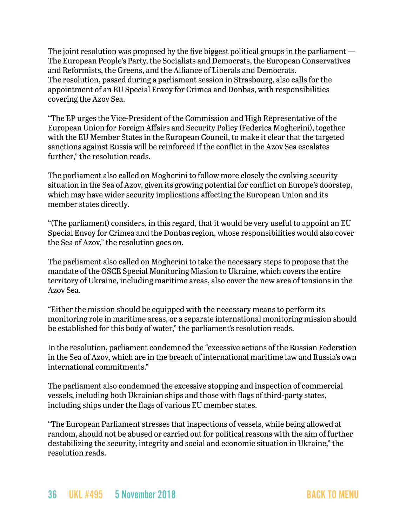The joint resolution was proposed by the five biggest political groups in the parliament — The European People's Party, the Socialists and Democrats, the European Conservatives and Reformists, the Greens, and the Alliance of Liberals and Democrats. The resolution, passed during a parliament session in Strasbourg, also calls for the appointment of an EU Special Envoy for Crimea and Donbas, with responsibilities covering the Azov Sea.

"The EP urges the Vice-President of the Commission and High Representative of the European Union for Foreign Affairs and Security Policy (Federica Mogherini), together with the EU Member States in the European Council, to make it clear that the targeted sanctions against Russia will be reinforced if the conflict in the Azov Sea escalates further," the resolution reads.

The parliament also called on Mogherini to follow more closely the evolving security situation in the Sea of Azov, given its growing potential for conflict on Europe's doorstep, which may have wider security implications affecting the European Union and its member states directly.

"(The parliament) considers, in this regard, that it would be very useful to appoint an EU Special Envoy for Crimea and the Donbas region, whose responsibilities would also cover the Sea of Azov," the resolution goes on.

The parliament also called on Mogherini to take the necessary steps to propose that the mandate of the OSCE Special Monitoring Mission to Ukraine, which covers the entire territory of Ukraine, including maritime areas, also cover the new area of tensions in the Azov Sea.

"Either the mission should be equipped with the necessary means to perform its monitoring role in maritime areas, or a separate international monitoring mission should be established for this body of water," the parliament's resolution reads.

In the resolution, parliament condemned the "excessive actions of the Russian Federation in the Sea of Azov, which are in the breach of international maritime law and Russia's own international commitments."

The parliament also condemned the excessive stopping and inspection of commercial vessels, including both Ukrainian ships and those with flags of third-party states, including ships under the flags of various EU member states.

"The European Parliament stresses that inspections of vessels, while being allowed at random, should not be abused or carried out for political reasons with the aim of further destabilizing the security, integrity and social and economic situation in Ukraine," the resolution reads.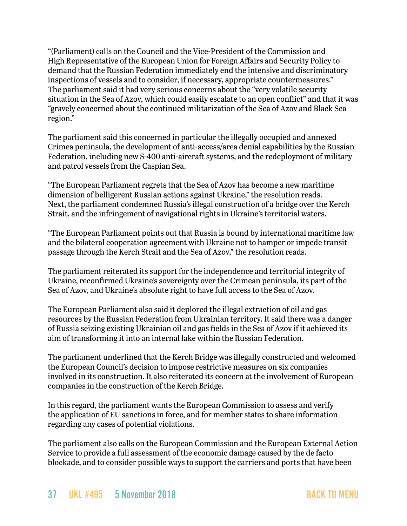"(Parliament) calls on the Council and the Vice-President of the Commission and High Representative of the European Union for Foreign Affairs and Security Policy to demand that the Russian Federation immediately end the intensive and discriminatory inspections of vessels and to consider, if necessary, appropriate countermeasures." The parliament said it had very serious concerns about the "very volatile security situation in the Sea of Azov, which could easily escalate to an open conflict" and that it was "gravely concerned about the continued militarization of the Sea of Azov and Black Sea region."

The parliament said this concerned in particular the illegally occupied and annexed Crimea peninsula, the development of anti-access/area denial capabilities by the Russian Federation, including new S-400 anti-aircraft systems, and the redeployment of military and patrol vessels from the Caspian Sea.

"The European Parliament regrets that the Sea of Azov has become a new maritime dimension of belligerent Russian actions against Ukraine," the resolution reads. Next, the parliament condemned Russia's illegal construction of a bridge over the Kerch Strait, and the infringement of navigational rights in Ukraine's territorial waters.

"The European Parliament points out that Russia is bound by international maritime law and the bilateral cooperation agreement with Ukraine not to hamper or impede transit passage through the Kerch Strait and the Sea of Azov," the resolution reads.

The parliament reiterated its support for the independence and territorial integrity of Ukraine, reconfirmed Ukraine's sovereignty over the Crimean peninsula, its part of the Sea of Azov, and Ukraine's absolute right to have full access to the Sea of Azov.

The European Parliament also said it deplored the illegal extraction of oil and gas resources by the Russian Federation from Ukrainian territory. It said there was a danger of Russia seizing existing Ukrainian oil and gas fields in the Sea of Azov if it achieved its aim of transforming it into an internal lake within the Russian Federation.

The parliament underlined that the Kerch Bridge was illegally constructed and welcomed the European Council's decision to impose restrictive measures on six companies involved in its construction. It also reiterated its concern at the involvement of European companies in the construction of the Kerch Bridge.

In this regard, the parliament wants the European Commission to assess and verify the application of EU sanctions in force, and for member states to share information regarding any cases of potential violations.

The parliament also calls on the European Commission and the European External Action Service to provide a full assessment of the economic damage caused by the de facto blockade, and to consider possible ways to support the carriers and ports that have been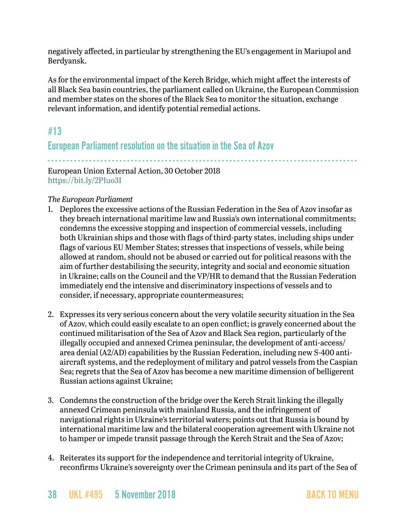negatively affected, in particular by strengthening the EU's engagement in Mariupol and Berdyansk.

As for the environmental impact of the Kerch Bridge, which might affect the interests of all Black Sea basin countries, the parliament called on Ukraine, the European Commission and member states on the shores of the Black Sea to monitor the situation, exchange relevant information, and identify potential remedial actions.

## <span id="page-37-0"></span>#13

## European Parliament resolution on the situation in the Sea of Azov

- - - - - - - - - - - - - - - - - - - - - - - - - - - - - - - - - - - - - - - - - - - - - - - - - - - - - - - - - - - - - - - - - - - - - - - - - - - - - - - - - - European Union External Action, 30 October 2018 <https://bit.ly/2PIuo3I>

### *The European Parliament*

- 1. Deplores the excessive actions of the Russian Federation in the Sea of Azov insofar as they breach international maritime law and Russia's own international commitments; condemns the excessive stopping and inspection of commercial vessels, including both Ukrainian ships and those with flags of third-party states, including ships under flags of various EU Member States; stresses that inspections of vessels, while being allowed at random, should not be abused or carried out for political reasons with the aim of further destabilising the security, integrity and social and economic situation in Ukraine; calls on the Council and the VP/HR to demand that the Russian Federation immediately end the intensive and discriminatory inspections of vessels and to consider, if necessary, appropriate countermeasures;
- 2. Expresses its very serious concern about the very volatile security situation in the Sea of Azov, which could easily escalate to an open conflict; is gravely concerned about the continued militarisation of the Sea of Azov and Black Sea region, particularly of the illegally occupied and annexed Crimea peninsular, the development of anti-access/ area denial (A2/AD) capabilities by the Russian Federation, including new S-400 antiaircraft systems, and the redeployment of military and patrol vessels from the Caspian Sea; regrets that the Sea of Azov has become a new maritime dimension of belligerent Russian actions against Ukraine;
- 3. Condemns the construction of the bridge over the Kerch Strait linking the illegally annexed Crimean peninsula with mainland Russia, and the infringement of navigational rights in Ukraine's territorial waters; points out that Russia is bound by international maritime law and the bilateral cooperation agreement with Ukraine not to hamper or impede transit passage through the Kerch Strait and the Sea of Azov;
- 4. Reiterates its support for the independence and territorial integrity of Ukraine, reconfirms Ukraine's sovereignty over the Crimean peninsula and its part of the Sea of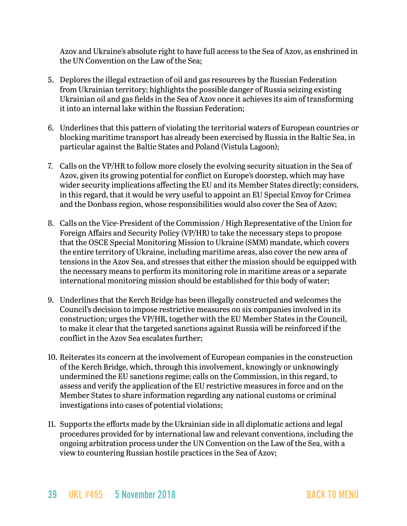Azov and Ukraine's absolute right to have full access to the Sea of Azov, as enshrined in the UN Convention on the Law of the Sea;

- 5. Deplores the illegal extraction of oil and gas resources by the Russian Federation from Ukrainian territory; highlights the possible danger of Russia seizing existing Ukrainian oil and gas fields in the Sea of Azov once it achieves its aim of transforming it into an internal lake within the Russian Federation;
- 6. Underlines that this pattern of violating the territorial waters of European countries or blocking maritime transport has already been exercised by Russia in the Baltic Sea, in particular against the Baltic States and Poland (Vistula Lagoon);
- 7. Calls on the VP/HR to follow more closely the evolving security situation in the Sea of Azov, given its growing potential for conflict on Europe's doorstep, which may have wider security implications affecting the EU and its Member States directly; considers, in this regard, that it would be very useful to appoint an EU Special Envoy for Crimea and the Donbass region, whose responsibilities would also cover the Sea of Azov;
- 8. Calls on the Vice-President of the Commission / High Representative of the Union for Foreign Affairs and Security Policy (VP/HR) to take the necessary steps to propose that the OSCE Special Monitoring Mission to Ukraine (SMM) mandate, which covers the entire territory of Ukraine, including maritime areas, also cover the new area of tensions in the Azov Sea, and stresses that either the mission should be equipped with the necessary means to perform its monitoring role in maritime areas or a separate international monitoring mission should be established for this body of water;
- 9. Underlines that the Kerch Bridge has been illegally constructed and welcomes the Council's decision to impose restrictive measures on six companies involved in its construction; urges the VP/HR, together with the EU Member States in the Council, to make it clear that the targeted sanctions against Russia will be reinforced if the conflict in the Azov Sea escalates further;
- 10. Reiterates its concern at the involvement of European companies in the construction of the Kerch Bridge, which, through this involvement, knowingly or unknowingly undermined the EU sanctions regime; calls on the Commission, in this regard, to assess and verify the application of the EU restrictive measures in force and on the Member States to share information regarding any national customs or criminal investigations into cases of potential violations;
- 11. Supports the efforts made by the Ukrainian side in all diplomatic actions and legal procedures provided for by international law and relevant conventions, including the ongoing arbitration process under the UN Convention on the Law of the Sea, with a view to countering Russian hostile practices in the Sea of Azov;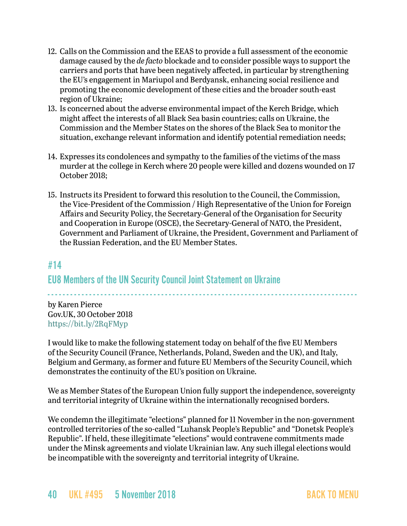- 12. Calls on the Commission and the EEAS to provide a full assessment of the economic damage caused by the *de facto* blockade and to consider possible ways to support the carriers and ports that have been negatively affected, in particular by strengthening the EU's engagement in Mariupol and Berdyansk, enhancing social resilience and promoting the economic development of these cities and the broader south-east region of Ukraine;
- 13. Is concerned about the adverse environmental impact of the Kerch Bridge, which might affect the interests of all Black Sea basin countries; calls on Ukraine, the Commission and the Member States on the shores of the Black Sea to monitor the situation, exchange relevant information and identify potential remediation needs;
- 14. Expresses its condolences and sympathy to the families of the victims of the mass murder at the college in Kerch where 20 people were killed and dozens wounded on 17 October 2018;
- 15. Instructs its President to forward this resolution to the Council, the Commission, the Vice-President of the Commission / High Representative of the Union for Foreign Affairs and Security Policy, the Secretary-General of the Organisation for Security and Cooperation in Europe (OSCE), the Secretary-General of NATO, the President, Government and Parliament of Ukraine, the President, Government and Parliament of the Russian Federation, and the EU Member States.

## <span id="page-39-0"></span>#14

EU8 Members of the UN Security Council Joint Statement on Ukraine

- - - - - - - - - - - - - - - - - - - - - - - - - - - - - - - - - - - - - - - - - - - - - - - - - - - - - - - - - - - - - - - - - - - - - - - - - - - - - - - - - by Karen Pierce Gov.UK, 30 October 2018 <https://bit.ly/2RqFMyp>

I would like to make the following statement today on behalf of the five EU Members of the Security Council (France, Netherlands, Poland, Sweden and the UK), and Italy, Belgium and Germany, as former and future EU Members of the Security Council, which demonstrates the continuity of the EU's position on Ukraine.

We as Member States of the European Union fully support the independence, sovereignty and territorial integrity of Ukraine within the internationally recognised borders.

We condemn the illegitimate "elections" planned for 11 November in the non-government controlled territories of the so-called "Luhansk People's Republic" and "Donetsk People's Republic". If held, these illegitimate "elections" would contravene commitments made under the Minsk agreements and violate Ukrainian law. Any such illegal elections would be incompatible with the sovereignty and territorial integrity of Ukraine.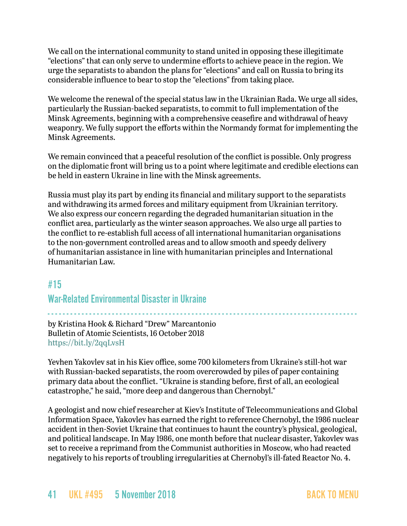We call on the international community to stand united in opposing these illegitimate "elections" that can only serve to undermine efforts to achieve peace in the region. We urge the separatists to abandon the plans for "elections" and call on Russia to bring its considerable influence to bear to stop the "elections" from taking place.

We welcome the renewal of the special status law in the Ukrainian Rada. We urge all sides, particularly the Russian-backed separatists, to commit to full implementation of the Minsk Agreements, beginning with a comprehensive ceasefire and withdrawal of heavy weaponry. We fully support the efforts within the Normandy format for implementing the Minsk Agreements.

We remain convinced that a peaceful resolution of the conflict is possible. Only progress on the diplomatic front will bring us to a point where legitimate and credible elections can be held in eastern Ukraine in line with the Minsk agreements.

Russia must play its part by ending its financial and military support to the separatists and withdrawing its armed forces and military equipment from Ukrainian territory. We also express our concern regarding the degraded humanitarian situation in the conflict area, particularly as the winter season approaches. We also urge all parties to the conflict to re-establish full access of all international humanitarian organisations to the non-government controlled areas and to allow smooth and speedy delivery of humanitarian assistance in line with humanitarian principles and International Humanitarian Law.

## <span id="page-40-0"></span>#15

## War-Related Environmental Disaster in Ukraine

- - - - - - - - - - - - - - - - - - - - - - - - - - - - - - - - - - - - - - - - - - - - - - - - - - - - - - - - - - - - - - - - - - - - - - - - - - - - - - - - - by Kristina Hook & Richard "Drew" Marcantonio Bulletin of Atomic Scientists, 16 October 2018 <https://bit.ly/2qqLvsH>

Yevhen Yakovlev sat in his Kiev office, some 700 kilometers from Ukraine's still-hot war with Russian-backed separatists, the room overcrowded by piles of paper containing primary data about the conflict. "Ukraine is standing before, first of all, an ecological catastrophe," he said, "more deep and dangerous than Chernobyl."

A geologist and now chief researcher at Kiev's Institute of Telecommunications and Global Information Space, Yakovlev has earned the right to reference Chernobyl, the 1986 nuclear accident in then-Soviet Ukraine that continues to haunt the country's physical, geological, and political landscape. In May 1986, one month before that nuclear disaster, Yakovlev was set to receive a reprimand from the Communist authorities in Moscow, who had reacted negatively to his reports of troubling irregularities at Chernobyl's ill-fated Reactor No. 4.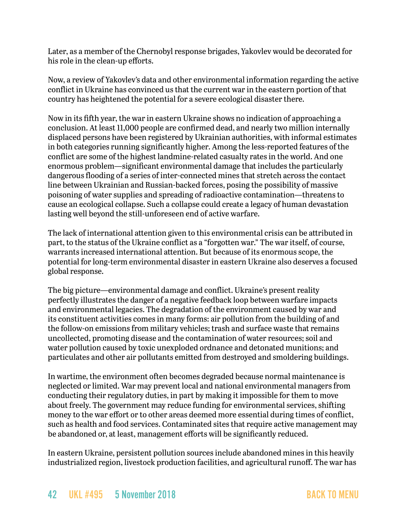Later, as a member of the Chernobyl response brigades, Yakovlev would be decorated for his role in the clean-up efforts.

Now, a review of Yakovlev's data and other environmental information regarding the active conflict in Ukraine has convinced us that the current war in the eastern portion of that country has heightened the potential for a severe ecological disaster there.

Now in its fifth year, the war in eastern Ukraine shows no indication of approaching a conclusion. At least 11,000 people are confirmed dead, and nearly two million internally displaced persons have been registered by Ukrainian authorities, with informal estimates in both categories running significantly higher. Among the less-reported features of the conflict are some of the highest landmine-related casualty rates in the world. And one enormous problem—significant environmental damage that includes the particularly dangerous flooding of a series of inter-connected mines that stretch across the contact line between Ukrainian and Russian-backed forces, posing the possibility of massive poisoning of water supplies and spreading of radioactive contamination—threatens to cause an ecological collapse. Such a collapse could create a legacy of human devastation lasting well beyond the still-unforeseen end of active warfare.

The lack of international attention given to this environmental crisis can be attributed in part, to the status of the Ukraine conflict as a "forgotten war." The war itself, of course, warrants increased international attention. But because of its enormous scope, the potential for long-term environmental disaster in eastern Ukraine also deserves a focused global response.

The big picture—environmental damage and conflict. Ukraine's present reality perfectly illustrates the danger of a negative feedback loop between warfare impacts and environmental legacies. The degradation of the environment caused by war and its constituent activities comes in many forms: air pollution from the building of and the follow-on emissions from military vehicles; trash and surface waste that remains uncollected, promoting disease and the contamination of water resources; soil and water pollution caused by toxic unexploded ordnance and detonated munitions; and particulates and other air pollutants emitted from destroyed and smoldering buildings.

In wartime, the environment often becomes degraded because normal maintenance is neglected or limited. War may prevent local and national environmental managers from conducting their regulatory duties, in part by making it impossible for them to move about freely. The government may reduce funding for environmental services, shifting money to the war effort or to other areas deemed more essential during times of conflict, such as health and food services. Contaminated sites that require active management may be abandoned or, at least, management efforts will be significantly reduced.

In eastern Ukraine, persistent pollution sources include abandoned mines in this heavily industrialized region, livestock production facilities, and agricultural runoff. The war has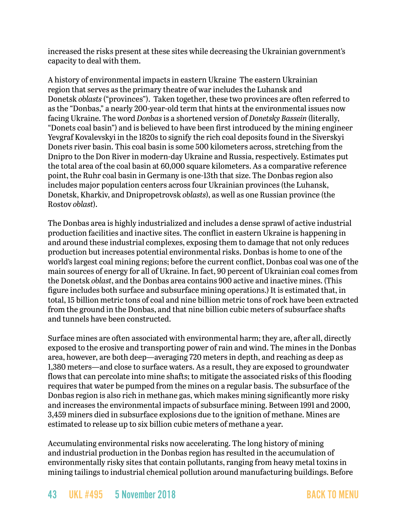increased the risks present at these sites while decreasing the Ukrainian government's capacity to deal with them.

A history of environmental impacts in eastern Ukraine The eastern Ukrainian region that serves as the primary theatre of war includes the Luhansk and Donetsk *oblasts* ("provinces"). Taken together, these two provinces are often referred to as the "Donbas," a nearly 200-year-old term that hints at the environmental issues now facing Ukraine. The word *Donbas* is a shortened version of *Donetsky Bassein* (literally, "Donets coal basin") and is believed to have been first introduced by the mining engineer Yevgraf Kovalevskyi in the 1820s to signify the rich coal deposits found in the Siverskyi Donets river basin. This coal basin is some 500 kilometers across, stretching from the Dnipro to the Don River in modern-day Ukraine and Russia, respectively. Estimates put the total area of the coal basin at 60,000 square kilometers. As a comparative reference point, the Ruhr coal basin in Germany is one-13th that size. The Donbas region also includes major population centers across four Ukrainian provinces (the Luhansk, Donetsk, Kharkiv, and Dnipropetrovsk *oblasts*), as well as one Russian province (the Rostov *oblast*).

The Donbas area is highly industrialized and includes a dense sprawl of active industrial production facilities and inactive sites. The conflict in eastern Ukraine is happening in and around these industrial complexes, exposing them to damage that not only reduces production but increases potential environmental risks. Donbas is home to one of the world's largest coal mining regions; before the current conflict, Donbas coal was one of the main sources of energy for all of Ukraine. In fact, 90 percent of Ukrainian coal comes from the Donetsk *oblast*, and the Donbas area contains 900 active and inactive mines. (This figure includes both surface and subsurface mining operations.) It is estimated that, in total, 15 billion metric tons of coal and nine billion metric tons of rock have been extracted from the ground in the Donbas, and that nine billion cubic meters of subsurface shafts and tunnels have been constructed.

Surface mines are often associated with environmental harm; they are, after all, directly exposed to the erosive and transporting power of rain and wind. The mines in the Donbas area, however, are both deep—averaging 720 meters in depth, and reaching as deep as 1,380 meters—and close to surface waters. As a result, they are exposed to groundwater flows that can percolate into mine shafts; to mitigate the associated risks of this flooding requires that water be pumped from the mines on a regular basis. The subsurface of the Donbas region is also rich in methane gas, which makes mining significantly more risky and increases the environmental impacts of subsurface mining. Between 1991 and 2000, 3,459 miners died in subsurface explosions due to the ignition of methane. Mines are estimated to release up to six billion cubic meters of methane a year.

Accumulating environmental risks now accelerating. The long history of mining and industrial production in the Donbas region has resulted in the accumulation of environmentally risky sites that contain pollutants, ranging from heavy metal toxins in mining tailings to industrial chemical pollution around manufacturing buildings. Before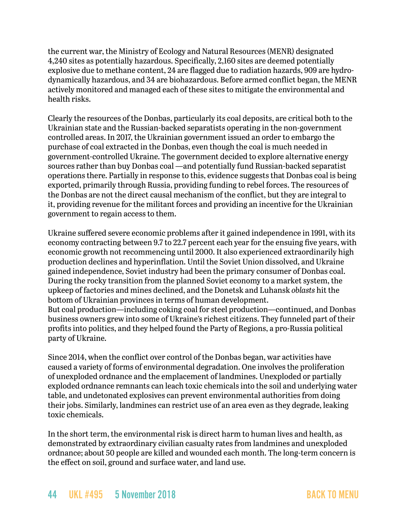the current war, the Ministry of Ecology and Natural Resources (MENR) designated 4,240 sites as potentially hazardous. Specifically, 2,160 sites are deemed potentially explosive due to methane content, 24 are flagged due to radiation hazards, 909 are hydrodynamically hazardous, and 34 are biohazardous. Before armed conflict began, the MENR actively monitored and managed each of these sites to mitigate the environmental and health risks.

Clearly the resources of the Donbas, particularly its coal deposits, are critical both to the Ukrainian state and the Russian-backed separatists operating in the non-government controlled areas. In 2017, the Ukrainian government issued an order to embargo the purchase of coal extracted in the Donbas, even though the coal is much needed in government-controlled Ukraine. The government decided to explore alternative energy sources rather than buy Donbas coal —and potentially fund Russian-backed separatist operations there. Partially in response to this, evidence suggests that Donbas coal is being exported, primarily through Russia, providing funding to rebel forces. The resources of the Donbas are not the direct causal mechanism of the conflict, but they are integral to it, providing revenue for the militant forces and providing an incentive for the Ukrainian government to regain access to them.

Ukraine suffered severe economic problems after it gained independence in 1991, with its economy contracting between 9.7 to 22.7 percent each year for the ensuing five years, with economic growth not recommencing until 2000. It also experienced extraordinarily high production declines and hyperinflation. Until the Soviet Union dissolved, and Ukraine gained independence, Soviet industry had been the primary consumer of Donbas coal. During the rocky transition from the planned Soviet economy to a market system, the upkeep of factories and mines declined, and the Donetsk and Luhansk *oblasts* hit the bottom of Ukrainian provinces in terms of human development. But coal production—including coking coal for steel production—continued, and Donbas business owners grew into some of Ukraine's richest citizens. They funneled part of their profits into politics, and they helped found the Party of Regions, a pro-Russia political party of Ukraine.

Since 2014, when the conflict over control of the Donbas began, war activities have caused a variety of forms of environmental degradation. One involves the proliferation of unexploded ordnance and the emplacement of landmines. Unexploded or partially exploded ordnance remnants can leach toxic chemicals into the soil and underlying water table, and undetonated explosives can prevent environmental authorities from doing their jobs. Similarly, landmines can restrict use of an area even as they degrade, leaking toxic chemicals.

In the short term, the environmental risk is direct harm to human lives and health, as demonstrated by extraordinary civilian casualty rates from landmines and unexploded ordnance; about 50 people are killed and wounded each month. The long-term concern is the effect on soil, ground and surface water, and land use.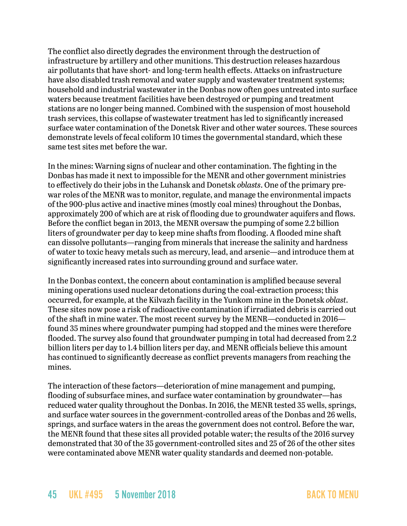The conflict also directly degrades the environment through the destruction of infrastructure by artillery and other munitions. This destruction releases hazardous air pollutants that have short- and long-term health effects. Attacks on infrastructure have also disabled trash removal and water supply and wastewater treatment systems; household and industrial wastewater in the Donbas now often goes untreated into surface waters because treatment facilities have been destroyed or pumping and treatment stations are no longer being manned. Combined with the suspension of most household trash services, this collapse of wastewater treatment has led to significantly increased surface water contamination of the Donetsk River and other water sources. These sources demonstrate levels of fecal coliform 10 times the governmental standard, which these same test sites met before the war.

In the mines: Warning signs of nuclear and other contamination. The fighting in the Donbas has made it next to impossible for the MENR and other government ministries to effectively do their jobs in the Luhansk and Donetsk *oblasts*. One of the primary prewar roles of the MENR was to monitor, regulate, and manage the environmental impacts of the 900-plus active and inactive mines (mostly coal mines) throughout the Donbas, approximately 200 of which are at risk of flooding due to groundwater aquifers and flows. Before the conflict began in 2013, the MENR oversaw the pumping of some 2.2 billion liters of groundwater per day to keep mine shafts from flooding. A flooded mine shaft can dissolve pollutants—ranging from minerals that increase the salinity and hardness of water to toxic heavy metals such as mercury, lead, and arsenic—and introduce them at significantly increased rates into surrounding ground and surface water.

In the Donbas context, the concern about contamination is amplified because several mining operations used nuclear detonations during the coal-extraction process; this occurred, for example, at the Kilvazh facility in the Yunkom mine in the Donetsk *oblast*. These sites now pose a risk of radioactive contamination if irradiated debris is carried out of the shaft in mine water. The most recent survey by the MENR—conducted in 2016 found 35 mines where groundwater pumping had stopped and the mines were therefore flooded. The survey also found that groundwater pumping in total had decreased from 2.2 billion liters per day to 1.4 billion liters per day, and MENR officials believe this amount has continued to significantly decrease as conflict prevents managers from reaching the mines.

The interaction of these factors—deterioration of mine management and pumping, flooding of subsurface mines, and surface water contamination by groundwater—has reduced water quality throughout the Donbas. In 2016, the MENR tested 35 wells, springs, and surface water sources in the government-controlled areas of the Donbas and 26 wells, springs, and surface waters in the areas the government does not control. Before the war, the MENR found that these sites all provided potable water; the results of the 2016 survey demonstrated that 30 of the 35 government-controlled sites and 25 of 26 of the other sites were contaminated above MENR water quality standards and deemed non-potable.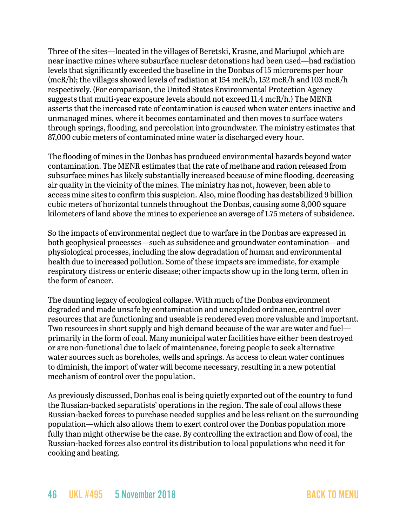Three of the sites—located in the villages of Beretski, Krasne, and Mariupol ,which are near inactive mines where subsurface nuclear detonations had been used—had radiation levels that significantly exceeded the baseline in the Donbas of 15 microrems per hour (mcR/h); the villages showed levels of radiation at 154 mcR/h, 152 mcR/h and 103 mcR/h respectively. (For comparison, the United States Environmental Protection Agency suggests that multi-year exposure levels should not exceed 11.4 mcR/h.) The MENR asserts that the increased rate of contamination is caused when water enters inactive and unmanaged mines, where it becomes contaminated and then moves to surface waters through springs, flooding, and percolation into groundwater. The ministry estimates that 87,000 cubic meters of contaminated mine water is discharged every hour.

The flooding of mines in the Donbas has produced environmental hazards beyond water contamination. The MENR estimates that the rate of methane and radon released from subsurface mines has likely substantially increased because of mine flooding, decreasing air quality in the vicinity of the mines. The ministry has not, however, been able to access mine sites to confirm this suspicion. Also, mine flooding has destabilized 9 billion cubic meters of horizontal tunnels throughout the Donbas, causing some 8,000 square kilometers of land above the mines to experience an average of 1.75 meters of subsidence.

So the impacts of environmental neglect due to warfare in the Donbas are expressed in both geophysical processes—such as subsidence and groundwater contamination—and physiological processes, including the slow degradation of human and environmental health due to increased pollution. Some of these impacts are immediate, for example respiratory distress or enteric disease; other impacts show up in the long term, often in the form of cancer.

The daunting legacy of ecological collapse. With much of the Donbas environment degraded and made unsafe by contamination and unexploded ordnance, control over resources that are functioning and useable is rendered even more valuable and important. Two resources in short supply and high demand because of the war are water and fuel primarily in the form of coal. Many municipal water facilities have either been destroyed or are non-functional due to lack of maintenance, forcing people to seek alternative water sources such as boreholes, wells and springs. As access to clean water continues to diminish, the import of water will become necessary, resulting in a new potential mechanism of control over the population.

As previously discussed, Donbas coal is being quietly exported out of the country to fund the Russian-backed separatists' operations in the region. The sale of coal allows these Russian-backed forces to purchase needed supplies and be less reliant on the surrounding population—which also allows them to exert control over the Donbas population more fully than might otherwise be the case. By controlling the extraction and flow of coal, the Russian-backed forces also control its distribution to local populations who need it for cooking and heating.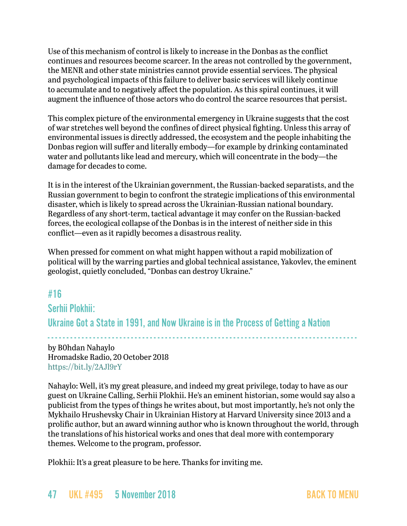Use of this mechanism of control is likely to increase in the Donbas as the conflict continues and resources become scarcer. In the areas not controlled by the government, the MENR and other state ministries cannot provide essential services. The physical and psychological impacts of this failure to deliver basic services will likely continue to accumulate and to negatively affect the population. As this spiral continues, it will augment the influence of those actors who do control the scarce resources that persist.

This complex picture of the environmental emergency in Ukraine suggests that the cost of war stretches well beyond the confines of direct physical fighting. Unless this array of environmental issues is directly addressed, the ecosystem and the people inhabiting the Donbas region will suffer and literally embody—for example by drinking contaminated water and pollutants like lead and mercury, which will concentrate in the body—the damage for decades to come.

It is in the interest of the Ukrainian government, the Russian-backed separatists, and the Russian government to begin to confront the strategic implications of this environmental disaster, which is likely to spread across the Ukrainian-Russian national boundary. Regardless of any short-term, tactical advantage it may confer on the Russian-backed forces, the ecological collapse of the Donbas is in the interest of neither side in this conflict—even as it rapidly becomes a disastrous reality.

When pressed for comment on what might happen without a rapid mobilization of political will by the warring parties and global technical assistance, Yakovlev, the eminent geologist, quietly concluded, "Donbas can destroy Ukraine."

## <span id="page-46-0"></span>#16

Serhii Plokhii: Ukraine Got a State in 1991, and Now Ukraine is in the Process of Getting a Nation

- - - - - - - - - - - - - - - - - - - - - - - - - - - - - - - - - - - - - - - - - - - - - - - - - - - - - - - - - - - - - - - - - - - - - - - - - - - - - - - - - by B0hdan Nahaylo Hromadske Radio, 20 October 2018 <https://bit.ly/2AJl9rY>

Nahaylo: Well, it's my great pleasure, and indeed my great privilege, today to have as our guest on Ukraine Calling, Serhii Plokhii. He's an eminent historian, some would say also a publicist from the types of things he writes about, but most importantly, he's not only the Mykhailo Hrushevsky Chair in Ukrainian History at Harvard University since 2013 and a prolific author, but an award winning author who is known throughout the world, through the translations of his historical works and ones that deal more with contemporary themes. Welcome to the program, professor.

Plokhii: It's a great pleasure to be here. Thanks for inviting me.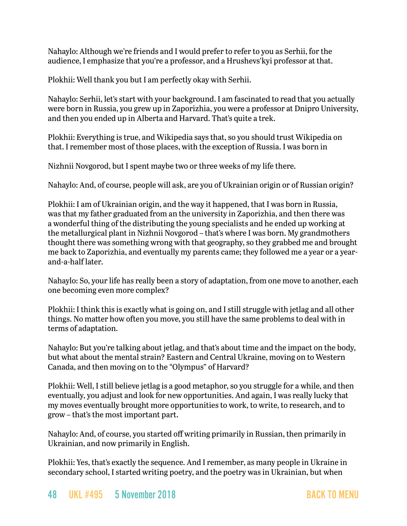Nahaylo: Although we're friends and I would prefer to refer to you as Serhii, for the audience, I emphasize that you're a professor, and a Hrushevs'kyi professor at that.

Plokhii: Well thank you but I am perfectly okay with Serhii.

Nahaylo: Serhii, let's start with your background. I am fascinated to read that you actually were born in Russia, you grew up in Zaporizhia, you were a professor at Dnipro University, and then you ended up in Alberta and Harvard. That's quite a trek.

Plokhii: Everything is true, and Wikipedia says that, so you should trust Wikipedia on that. I remember most of those places, with the exception of Russia. I was born in

Nizhnii Novgorod, but I spent maybe two or three weeks of my life there.

Nahaylo: And, of course, people will ask, are you of Ukrainian origin or of Russian origin?

Plokhii: I am of Ukrainian origin, and the way it happened, that I was born in Russia, was that my father graduated from an the university in Zaporizhia, and then there was a wonderful thing of the distributing the young specialists and he ended up working at the metallurgical plant in Nizhnii Novgorod – that's where I was born. My grandmothers thought there was something wrong with that geography, so they grabbed me and brought me back to Zaporizhia, and eventually my parents came; they followed me a year or a yearand-a-half later.

Nahaylo: So, your life has really been a story of adaptation, from one move to another, each one becoming even more complex?

Plokhii: I think this is exactly what is going on, and I still struggle with jetlag and all other things. No matter how often you move, you still have the same problems to deal with in terms of adaptation.

Nahaylo: But you're talking about jetlag, and that's about time and the impact on the body, but what about the mental strain? Eastern and Central Ukraine, moving on to Western Canada, and then moving on to the "Olympus" of Harvard?

Plokhii: Well, I still believe jetlag is a good metaphor, so you struggle for a while, and then eventually, you adjust and look for new opportunities. And again, I was really lucky that my moves eventually brought more opportunities to work, to write, to research, and to grow – that's the most important part.

Nahaylo: And, of course, you started off writing primarily in Russian, then primarily in Ukrainian, and now primarily in English.

Plokhii: Yes, that's exactly the sequence. And I remember, as many people in Ukraine in secondary school, I started writing poetry, and the poetry was in Ukrainian, but when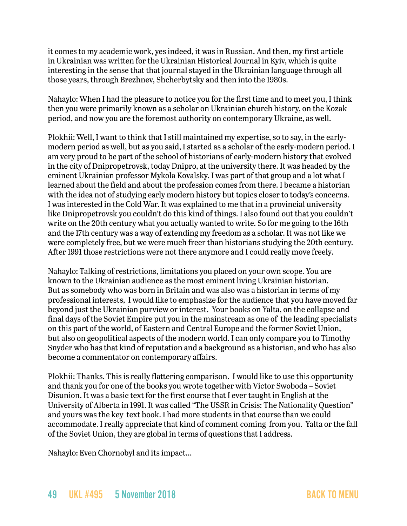it comes to my academic work, yes indeed, it was in Russian. And then, my first article in Ukrainian was written for the Ukrainian Historical Journal in Kyiv, which is quite interesting in the sense that that journal stayed in the Ukrainian language through all those years, through Brezhnev, Shcherbytsky and then into the 1980s.

Nahaylo: When I had the pleasure to notice you for the first time and to meet you, I think then you were primarily known as a scholar on Ukrainian church history, on the Kozak period, and now you are the foremost authority on contemporary Ukraine, as well.

Plokhii: Well, I want to think that I still maintained my expertise, so to say, in the earlymodern period as well, but as you said, I started as a scholar of the early-modern period. I am very proud to be part of the school of historians of early-modern history that evolved in the city of Dnipropetrovsk, today Dnipro, at the university there. It was headed by the eminent Ukrainian professor Mykola Kovalsky. I was part of that group and a lot what I learned about the field and about the profession comes from there. I became a historian with the idea not of studying early modern history but topics closer to today's concerns. I was interested in the Cold War. It was explained to me that in a provincial university like Dnipropetrovsk you couldn't do this kind of things. I also found out that you couldn't write on the 20th century what you actually wanted to write. So for me going to the 16th and the 17th century was a way of extending my freedom as a scholar. It was not like we were completely free, but we were much freer than historians studying the 20th century. After 1991 those restrictions were not there anymore and I could really move freely.

Nahaylo: Talking of restrictions, limitations you placed on your own scope. You are known to the Ukrainian audience as the most eminent living Ukrainian historian. But as somebody who was born in Britain and was also was a historian in terms of my professional interests, I would like to emphasize for the audience that you have moved far beyond just the Ukrainian purview or interest. Your books on Yalta, on the collapse and final days of the Soviet Empire put you in the mainstream as one of the leading specialists on this part of the world, of Eastern and Central Europe and the former Soviet Union, but also on geopolitical aspects of the modern world. I can only compare you to Timothy Snyder who has that kind of reputation and a background as a historian, and who has also become a commentator on contemporary affairs.

Plokhii: Thanks. This is really flattering comparison. I would like to use this opportunity and thank you for one of the books you wrote together with Victor Swoboda – Soviet Disunion. It was a basic text for the first course that I ever taught in English at the University of Alberta in 1991. It was called "The USSR in Crisis: The Nationality Question" and yours was the key text book. I had more students in that course than we could accommodate. I really appreciate that kind of comment coming from you. Yalta or the fall of the Soviet Union, they are global in terms of questions that I address.

Nahaylo: Even Chornobyl and its impact…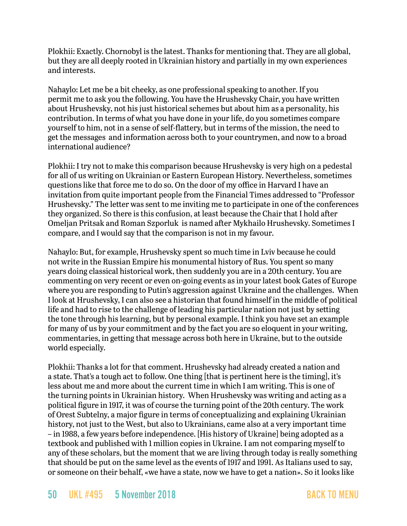Plokhii: Exactly. Chornobyl is the latest. Thanks for mentioning that. They are all global, but they are all deeply rooted in Ukrainian history and partially in my own experiences and interests.

Nahaylo: Let me be a bit cheeky, as one professional speaking to another. If you permit me to ask you the following. You have the Hrushevsky Chair, you have written about Hrushevsky, not his just historical schemes but about him as a personality, his contribution. In terms of what you have done in your life, do you sometimes compare yourself to him, not in a sense of self-flattery, but in terms of the mission, the need to get the messages and information across both to your countrymen, and now to a broad international audience?

Plokhii: I try not to make this comparison because Hrushevsky is very high on a pedestal for all of us writing on Ukrainian or Eastern European History. Nevertheless, sometimes questions like that force me to do so. On the door of my office in Harvard I have an invitation from quite important people from the Financial Times addressed to "Professor Hrushevsky." The letter was sent to me inviting me to participate in one of the conferences they organized. So there is this confusion, at least because the Chair that I hold after Omeljan Pritsak and Roman Szporluk is named after Mykhailo Hrushevsky. Sometimes I compare, and I would say that the comparison is not in my favour.

Nahaylo: But, for example, Hrushevsky spent so much time in Lviv because he could not write in the Russian Empire his monumental history of Rus. You spent so many years doing classical historical work, then suddenly you are in a 20th century. You are commenting on very recent or even on-going events as in your latest book Gates of Europe where you are responding to Putin's aggression against Ukraine and the challenges. When I look at Hrushevsky, I can also see a historian that found himself in the middle of political life and had to rise to the challenge of leading his particular nation not just by setting the tone through his learning, but by personal example. I think you have set an example for many of us by your commitment and by the fact you are so eloquent in your writing, commentaries, in getting that message across both here in Ukraine, but to the outside world especially.

Plokhii: Thanks a lot for that comment. Hrushevsky had already created a nation and a state. That's a tough act to follow. One thing [that is pertinent here is the timing], it's less about me and more about the current time in which I am writing. This is one of the turning points in Ukrainian history. When Hrushevsky was writing and acting as a political figure in 1917, it was of course the turning point of the 20th century. The work of Orest Subtelny, a major figure in terms of conceptualizing and explaining Ukrainian history, not just to the West, but also to Ukrainians, came also at a very important time – in 1988, a few years before independence. [His history of Ukraine] being adopted as a textbook and published with 1 million copies in Ukraine. I am not comparing myself to any of these scholars, but the moment that we are living through today is really something that should be put on the same level as the events of 1917 and 1991. As Italians used to say, or someone on their behalf, «we have a state, now we have to get a nation». So it looks like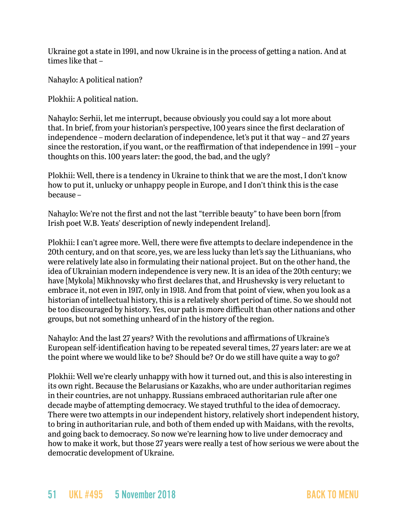Ukraine got a state in 1991, and now Ukraine is in the process of getting a nation. And at times like that –

Nahaylo: A political nation?

Plokhii: A political nation.

Nahaylo: Serhii, let me interrupt, because obviously you could say a lot more about that. In brief, from your historian's perspective, 100 years since the first declaration of independence – modern declaration of independence, let's put it that way – and 27 years since the restoration, if you want, or the reaffirmation of that independence in 1991 – your thoughts on this. 100 years later: the good, the bad, and the ugly?

Plokhii: Well, there is a tendency in Ukraine to think that we are the most, I don't know how to put it, unlucky or unhappy people in Europe, and I don't think this is the case because –

Nahaylo: We're not the first and not the last "terrible beauty" to have been born [from Irish poet W.B. Yeats' description of newly independent Ireland].

Plokhii: I can't agree more. Well, there were five attempts to declare independence in the 20th century, and on that score, yes, we are less lucky than let's say the Lithuanians, who were relatively late also in formulating their national project. But on the other hand, the idea of Ukrainian modern independence is very new. It is an idea of the 20th century; we have [Mykola] Mikhnovsky who first declares that, and Hrushevsky is very reluctant to embrace it, not even in 1917, only in 1918. And from that point of view, when you look as a historian of intellectual history, this is a relatively short period of time. So we should not be too discouraged by history. Yes, our path is more difficult than other nations and other groups, but not something unheard of in the history of the region.

Nahaylo: And the last 27 years? With the revolutions and affirmations of Ukraine's European self-identification having to be repeated several times, 27 years later: are we at the point where we would like to be? Should be? Or do we still have quite a way to go?

Plokhii: Well we're clearly unhappy with how it turned out, and this is also interesting in its own right. Because the Belarusians or Kazakhs, who are under authoritarian regimes in their countries, are not unhappy. Russians embraced authoritarian rule after one decade maybe of attempting democracy. We stayed truthful to the idea of democracy. There were two attempts in our independent history, relatively short independent history, to bring in authoritarian rule, and both of them ended up with Maidans, with the revolts, and going back to democracy. So now we're learning how to live under democracy and how to make it work, but those 27 years were really a test of how serious we were about the democratic development of Ukraine.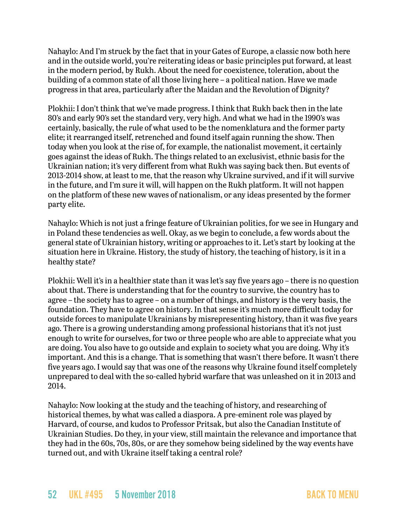Nahaylo: And I'm struck by the fact that in your Gates of Europe, a classic now both here and in the outside world, you're reiterating ideas or basic principles put forward, at least in the modern period, by Rukh. About the need for coexistence, toleration, about the building of a common state of all those living here – a political nation. Have we made progress in that area, particularly after the Maidan and the Revolution of Dignity?

Plokhii: I don't think that we've made progress. I think that Rukh back then in the late 80's and early 90's set the standard very, very high. And what we had in the 1990's was certainly, basically, the rule of what used to be the nomenklatura and the former party elite; it rearranged itself, retrenched and found itself again running the show. Then today when you look at the rise of, for example, the nationalist movement, it certainly goes against the ideas of Rukh. The things related to an exclusivist, ethnic basis for the Ukrainian nation; it's very different from what Rukh was saying back then. But events of 2013-2014 show, at least to me, that the reason why Ukraine survived, and if it will survive in the future, and I'm sure it will, will happen on the Rukh platform. It will not happen on the platform of these new waves of nationalism, or any ideas presented by the former party elite.

Nahaylo: Which is not just a fringe feature of Ukrainian politics, for we see in Hungary and in Poland these tendencies as well. Okay, as we begin to conclude, a few words about the general state of Ukrainian history, writing or approaches to it. Let's start by looking at the situation here in Ukraine. History, the study of history, the teaching of history, is it in a healthy state?

Plokhii: Well it's in a healthier state than it was let's say five years ago – there is no question about that. There is understanding that for the country to survive, the country has to agree – the society has to agree – on a number of things, and history is the very basis, the foundation. They have to agree on history. In that sense it's much more difficult today for outside forces to manipulate Ukrainians by misrepresenting history, than it was five years ago. There is a growing understanding among professional historians that it's not just enough to write for ourselves, for two or three people who are able to appreciate what you are doing. You also have to go outside and explain to society what you are doing. Why it's important. And this is a change. That is something that wasn't there before. It wasn't there five years ago. I would say that was one of the reasons why Ukraine found itself completely unprepared to deal with the so-called hybrid warfare that was unleashed on it in 2013 and 2014.

Nahaylo: Now looking at the study and the teaching of history, and researching of historical themes, by what was called a diaspora. A pre-eminent role was played by Harvard, of course, and kudos to Professor Pritsak, but also the Canadian Institute of Ukrainian Studies. Do they, in your view, still maintain the relevance and importance that they had in the 60s, 70s, 80s, or are they somehow being sidelined by the way events have turned out, and with Ukraine itself taking a central role?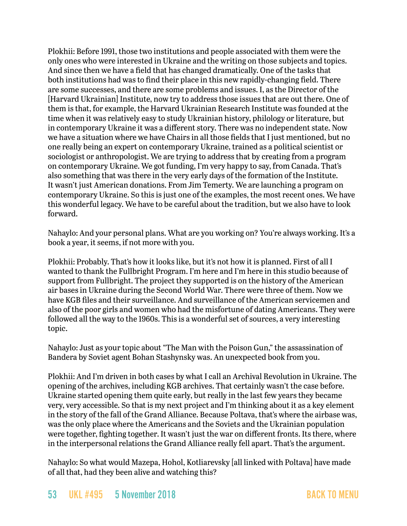Plokhii: Before 1991, those two institutions and people associated with them were the only ones who were interested in Ukraine and the writing on those subjects and topics. And since then we have a field that has changed dramatically. One of the tasks that both institutions had was to find their place in this new rapidly-changing field. There are some successes, and there are some problems and issues. I, as the Director of the [Harvard Ukrainian] Institute, now try to address those issues that are out there. One of them is that, for example, the Harvard Ukrainian Research Institute was founded at the time when it was relatively easy to study Ukrainian history, philology or literature, but in contemporary Ukraine it was a different story. There was no independent state. Now we have a situation where we have Chairs in all those fields that I just mentioned, but no one really being an expert on contemporary Ukraine, trained as a political scientist or sociologist or anthropologist. We are trying to address that by creating from a program on contemporary Ukraine. We got funding, I'm very happy to say, from Canada. That's also something that was there in the very early days of the formation of the Institute. It wasn't just American donations. From Jim Temerty. We are launching a program on contemporary Ukraine. So this is just one of the examples, the most recent ones. We have this wonderful legacy. We have to be careful about the tradition, but we also have to look forward.

Nahaylo: And your personal plans. What are you working on? You're always working. It's a book a year, it seems, if not more with you.

Plokhii: Probably. That's how it looks like, but it's not how it is planned. First of all I wanted to thank the Fullbright Program. I'm here and I'm here in this studio because of support from Fullbright. The project they supported is on the history of the American air bases in Ukraine during the Second World War. There were three of them. Now we have KGB files and their surveillance. And surveillance of the American servicemen and also of the poor girls and women who had the misfortune of dating Americans. They were followed all the way to the 1960s. This is a wonderful set of sources, a very interesting topic.

Nahaylo: Just as your topic about "The Man with the Poison Gun," the assassination of Bandera by Soviet agent Bohan Stashynsky was. An unexpected book from you.

Plokhii: And I'm driven in both cases by what I call an Archival Revolution in Ukraine. The opening of the archives, including KGB archives. That certainly wasn't the case before. Ukraine started opening them quite early, but really in the last few years they became very, very accessible. So that is my next project and I'm thinking about it as a key element in the story of the fall of the Grand Alliance. Because Poltava, that's where the airbase was, was the only place where the Americans and the Soviets and the Ukrainian population were together, fighting together. It wasn't just the war on different fronts. Its there, where in the interpersonal relations the Grand Alliance really fell apart. That's the argument.

Nahaylo: So what would Mazepa, Hohol, Kotliarevsky [all linked with Poltava] have made of all that, had they been alive and watching this?